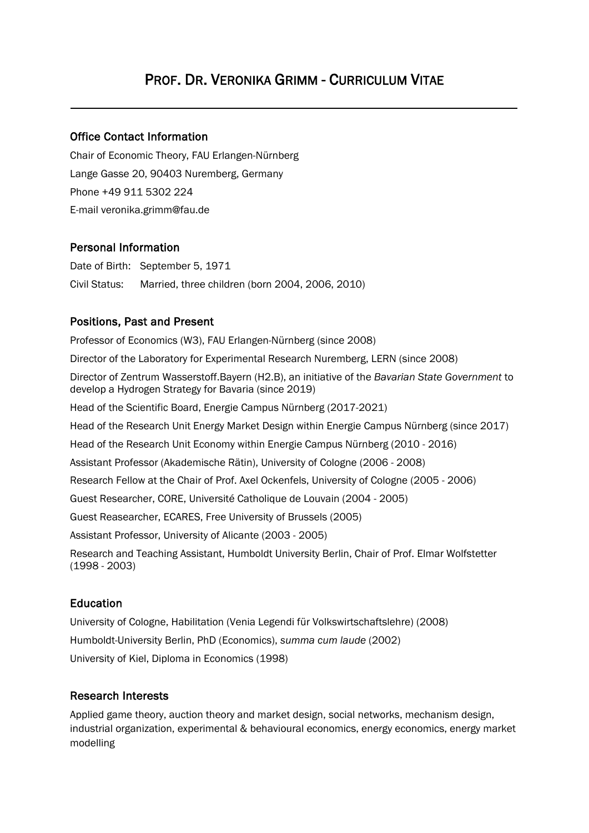# PROF. DR. VERONIKA GRIMM - CURRICULUM VITAE

### Office Contact Information

Chair of Economic Theory, FAU Erlangen-Nürnberg Lange Gasse 20, 90403 Nuremberg, Germany Phone +49 911 5302 224 E-mail veronika.grimm@fau.de

### Personal Information

Date of Birth: September 5, 1971 Civil Status: Married, three children (born 2004, 2006, 2010)

### Positions, Past and Present

Professor of Economics (W3), FAU Erlangen-Nürnberg (since 2008) Director of the Laboratory for Experimental Research Nuremberg, LERN (since 2008) Director of Zentrum Wasserstoff.Bayern (H2.B), an initiative of the *Bavarian State Government* to develop a Hydrogen Strategy for Bavaria (since 2019) Head of the Scientific Board, Energie Campus Nürnberg (2017-2021) Head of the Research Unit Energy Market Design within Energie Campus Nürnberg (since 2017) Head of the Research Unit Economy within Energie Campus Nürnberg (2010 - 2016) Assistant Professor (Akademische Rätin), University of Cologne (2006 - 2008) Research Fellow at the Chair of Prof. Axel Ockenfels, University of Cologne (2005 - 2006) Guest Researcher, CORE, Université Catholique de Louvain (2004 - 2005) Guest Reasearcher, ECARES, Free University of Brussels (2005) Assistant Professor, University of Alicante (2003 - 2005) Research and Teaching Assistant, Humboldt University Berlin, Chair of Prof. Elmar Wolfstetter (1998 - 2003)

### Education

University of Cologne, Habilitation (Venia Legendi für Volkswirtschaftslehre) (2008) Humboldt-University Berlin, PhD (Economics), *summa cum laude* (2002) University of Kiel, Diploma in Economics (1998)

#### Research Interests

Applied game theory, auction theory and market design, social networks, mechanism design, industrial organization, experimental & behavioural economics, energy economics, energy market modelling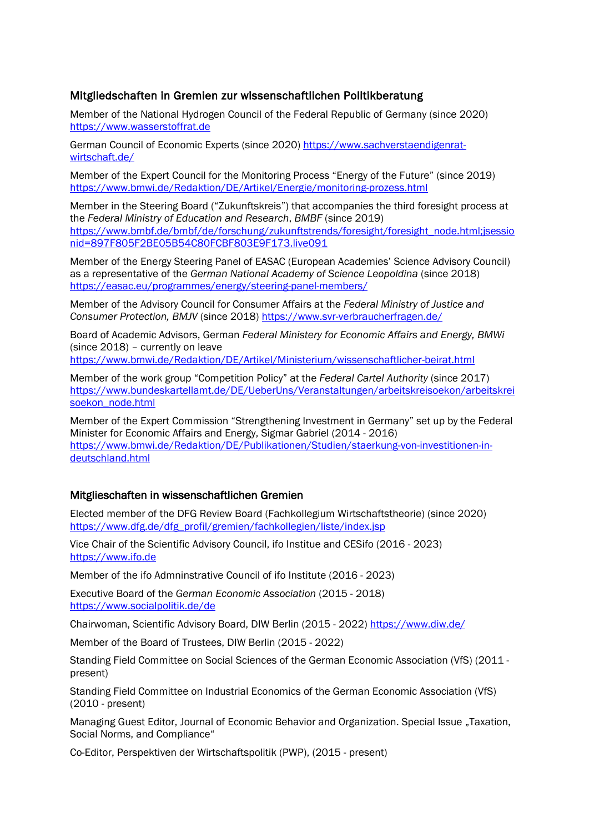### Mitgliedschaften in Gremien zur wissenschaftlichen Politikberatung

Member of the National Hydrogen Council of the Federal Republic of Germany (since 2020) [https://www.wasserstoffrat.de](https://www.wasserstoffrat.de/)

German Council of Economic Experts (since 2020) [https://www.sachverstaendigenrat](https://www.sachverstaendigenrat-wirtschaft.de/)[wirtschaft.de/](https://www.sachverstaendigenrat-wirtschaft.de/)

Member of the Expert Council for the Monitoring Process "Energy of the Future" (since 2019) <https://www.bmwi.de/Redaktion/DE/Artikel/Energie/monitoring-prozess.html>

Member in the Steering Board ("Zukunftskreis") that accompanies the third foresight process at the *Federal Ministry of Education and Research*, *BMBF* (since 2019) [https://www.bmbf.de/bmbf/de/forschung/zukunftstrends/foresight/foresight\\_node.html;jsessio](https://www.bmbf.de/bmbf/de/forschung/zukunftstrends/foresight/foresight_node.html;jsessionid=897F805F2BE05B54C80FCBF803E9F173.live091) [nid=897F805F2BE05B54C80FCBF803E9F173.live091](https://www.bmbf.de/bmbf/de/forschung/zukunftstrends/foresight/foresight_node.html;jsessionid=897F805F2BE05B54C80FCBF803E9F173.live091)

Member of the Energy Steering Panel of EASAC (European Academies' Science Advisory Council) as a representative of the *German National Academy of Science Leopoldina* (since 2018) <https://easac.eu/programmes/energy/steering-panel-members/>

Member of the Advisory Council for Consumer Affairs at the *Federal Ministry of Justice and Consumer Protection, BMJV* (since 2018) <https://www.svr-verbraucherfragen.de/>

Board of Academic Advisors, German *Federal Ministery for Economic Affairs and Energy, BMWi* (since 2018) – currently on leave

<https://www.bmwi.de/Redaktion/DE/Artikel/Ministerium/wissenschaftlicher-beirat.html>

Member of the work group "Competition Policy" at the *Federal Cartel Authority* (since 2017) [https://www.bundeskartellamt.de/DE/UeberUns/Veranstaltungen/arbeitskreisoekon/arbeitskrei](https://www.bundeskartellamt.de/DE/UeberUns/Veranstaltungen/arbeitskreisoekon/arbeitskreisoekon_node.html) [soekon\\_node.html](https://www.bundeskartellamt.de/DE/UeberUns/Veranstaltungen/arbeitskreisoekon/arbeitskreisoekon_node.html)

Member of the Expert Commission "Strengthening Investment in Germany" set up by the Federal Minister for Economic Affairs and Energy, Sigmar Gabriel (2014 - 2016) [https://www.bmwi.de/Redaktion/DE/Publikationen/Studien/staerkung-von-investitionen-in](https://www.bmwi.de/Redaktion/DE/Publikationen/Studien/staerkung-von-investitionen-in-deutschland.html)[deutschland.html](https://www.bmwi.de/Redaktion/DE/Publikationen/Studien/staerkung-von-investitionen-in-deutschland.html)

### Mitglieschaften in wissenschaftlichen Gremien

Elected member of the DFG Review Board (Fachkollegium Wirtschaftstheorie) (since 2020) [https://www.dfg.de/dfg\\_profil/gremien/fachkollegien/liste/index.jsp](https://www.dfg.de/dfg_profil/gremien/fachkollegien/liste/index.jsp)

Vice Chair of the Scientific Advisory Council, ifo Institue and CESifo (2016 - 2023) [https://www.ifo.de](https://www.ifo.de/)

Member of the ifo Admninstrative Council of ifo Institute (2016 - 2023)

Executive Board of the *German Economic Association* (2015 - 2018) <https://www.socialpolitik.de/de>

Chairwoman, Scientific Advisory Board, DIW Berlin (2015 - 2022) <https://www.diw.de/>

Member of the Board of Trustees, DIW Berlin (2015 - 2022)

Standing Field Committee on Social Sciences of the German Economic Association (VfS) (2011 present)

Standing Field Committee on Industrial Economics of the German Economic Association (VfS) (2010 - present)

Managing Guest Editor, Journal of Economic Behavior and Organization. Special Issue "Taxation, Social Norms, and Compliance"

Co-Editor, Perspektiven der Wirtschaftspolitik (PWP), (2015 - present)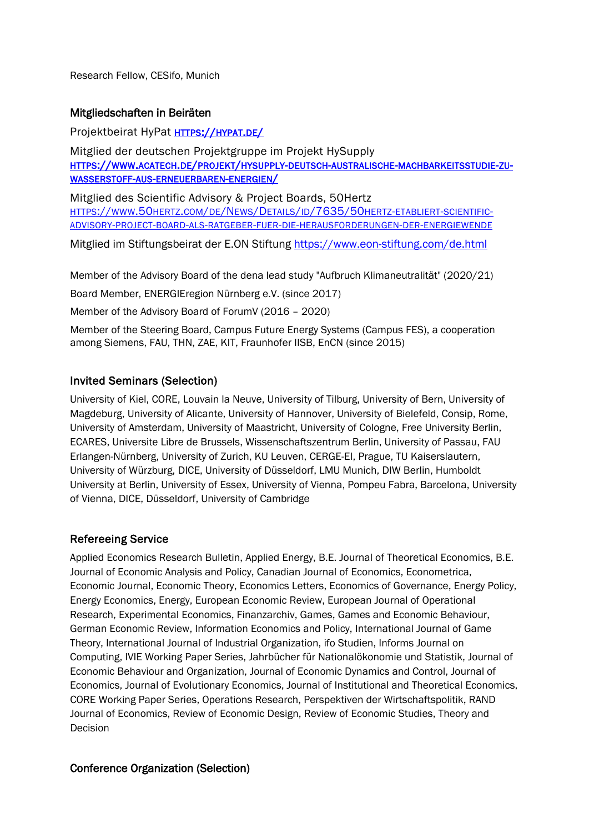Research Fellow, CESifo, Munich

### Mitgliedschaften in Beiräten

Projektbeirat HyPat [HTTPS://HYPAT.DE/](https://hypat.de/)

Mitglied der deutschen Projektgruppe im Projekt HySupply [HTTPS://WWW.ACATECH.DE/PROJEKT/HYSUPPLY-DEUTSCH-AUSTRALISCHE-MACHBARKEITSSTUDIE-ZU-](https://www.acatech.de/projekt/hysupply-deutsch-australische-machbarkeitsstudie-zu-wasserstoff-aus-erneuerbaren-energien/)[WASSERSTOFF-AUS-ERNEUERBAREN-ENERGIEN/](https://www.acatech.de/projekt/hysupply-deutsch-australische-machbarkeitsstudie-zu-wasserstoff-aus-erneuerbaren-energien/)

Mitglied des Scientific Advisory & Project Boards, 50Hertz [HTTPS://WWW.50HERTZ.COM/DE/NEWS/DETAILS/ID/7635/50HERTZ-ETABLIERT-SCIENTIFIC-](https://www.50hertz.com/de/News/Details/id/7635/50hertz-etabliert-scientific-advisory-project-board-als-ratgeber-fuer-die-herausforderungen-der-energiewende)[ADVISORY-PROJECT-BOARD-ALS-RATGEBER-FUER-DIE-HERAUSFORDERUNGEN-DER-ENERGIEWENDE](https://www.50hertz.com/de/News/Details/id/7635/50hertz-etabliert-scientific-advisory-project-board-als-ratgeber-fuer-die-herausforderungen-der-energiewende) 

Mitglied im Stiftungsbeirat der E.ON Stiftung<https://www.eon-stiftung.com/de.html>

Member of the Advisory Board of the dena lead study "Aufbruch Klimaneutralität" (2020/21)

Board Member, ENERGIEregion Nürnberg e.V. (since 2017)

Member of the Advisory Board of ForumV (2016 – 2020)

Member of the Steering Board, Campus Future Energy Systems (Campus FES), a cooperation among Siemens, FAU, THN, ZAE, KIT, Fraunhofer IISB, EnCN (since 2015)

### Invited Seminars (Selection)

University of Kiel, CORE, Louvain la Neuve, University of Tilburg, University of Bern, University of Magdeburg, University of Alicante, University of Hannover, University of Bielefeld, Consip, Rome, University of Amsterdam, University of Maastricht, University of Cologne, Free University Berlin, ECARES, Universite Libre de Brussels, Wissenschaftszentrum Berlin, University of Passau, FAU Erlangen-Nürnberg, University of Zurich, KU Leuven, CERGE-EI, Prague, TU Kaiserslautern, University of Würzburg, DICE, University of Düsseldorf, LMU Munich, DIW Berlin, Humboldt University at Berlin, University of Essex, University of Vienna, Pompeu Fabra, Barcelona, University of Vienna, DICE, Düsseldorf, University of Cambridge

### Refereeing Service

Applied Economics Research Bulletin, Applied Energy, B.E. Journal of Theoretical Economics, B.E. Journal of Economic Analysis and Policy, Canadian Journal of Economics, Econometrica, Economic Journal, Economic Theory, Economics Letters, Economics of Governance, Energy Policy, Energy Economics, Energy, European Economic Review, European Journal of Operational Research, Experimental Economics, Finanzarchiv, Games, Games and Economic Behaviour, German Economic Review, Information Economics and Policy, International Journal of Game Theory, International Journal of Industrial Organization, ifo Studien, Informs Journal on Computing, IVIE Working Paper Series, Jahrbücher für Nationalökonomie und Statistik, Journal of Economic Behaviour and Organization, Journal of Economic Dynamics and Control, Journal of Economics, Journal of Evolutionary Economics, Journal of Institutional and Theoretical Economics, CORE Working Paper Series, Operations Research, Perspektiven der Wirtschaftspolitik, RAND Journal of Economics, Review of Economic Design, Review of Economic Studies, Theory and Decision

### Conference Organization (Selection)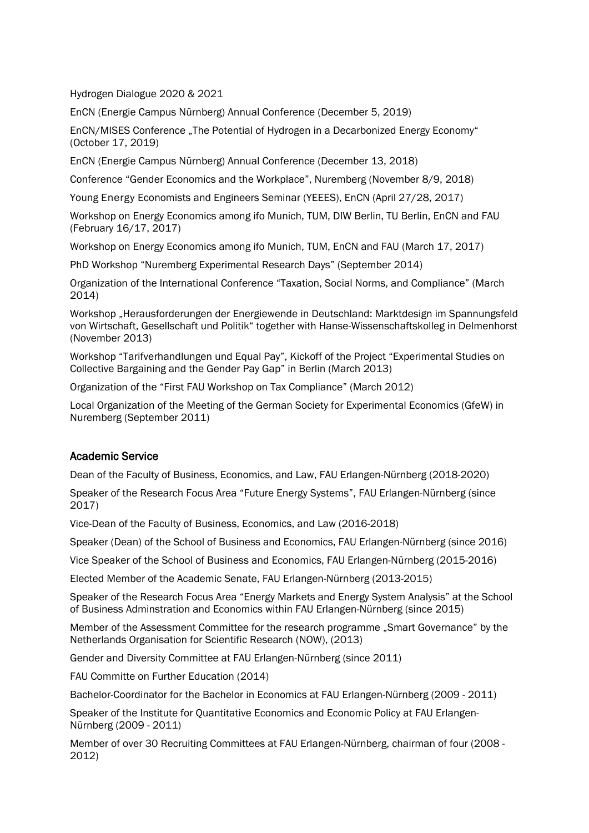Hydrogen Dialogue 2020 & 2021

EnCN (Energie Campus Nürnberg) Annual Conference (December 5, 2019)

EnCN/MISES Conference "The Potential of Hydrogen in a Decarbonized Energy Economy" (October 17, 2019)

EnCN (Energie Campus Nürnberg) Annual Conference (December 13, 2018)

Conference "Gender Economics and the Workplace", Nuremberg (November 8/9, 2018)

Young Energy Economists and Engineers Seminar (YEEES), EnCN (April 27/28, 2017)

Workshop on Energy Economics among ifo Munich, TUM, DIW Berlin, TU Berlin, EnCN and FAU (February 16/17, 2017)

Workshop on Energy Economics among ifo Munich, TUM, EnCN and FAU (March 17, 2017)

PhD Workshop "Nuremberg Experimental Research Days" (September 2014)

Organization of the International Conference "Taxation, Social Norms, and Compliance" (March 2014)

Workshop "Herausforderungen der Energiewende in Deutschland: Marktdesign im Spannungsfeld von Wirtschaft, Gesellschaft und Politik" together with Hanse-Wissenschaftskolleg in Delmenhorst (November 2013)

Workshop "Tarifverhandlungen und Equal Pay", Kickoff of the Project "Experimental Studies on Collective Bargaining and the Gender Pay Gap" in Berlin (March 2013)

Organization of the "First FAU Workshop on Tax Compliance" (March 2012)

Local Organization of the Meeting of the German Society for Experimental Economics (GfeW) in Nuremberg (September 2011)

### Academic Service

Dean of the Faculty of Business, Economics, and Law, FAU Erlangen-Nürnberg (2018-2020)

Speaker of the Research Focus Area "Future Energy Systems", FAU Erlangen-Nürnberg (since 2017)

Vice-Dean of the Faculty of Business, Economics, and Law (2016-2018)

Speaker (Dean) of the School of Business and Economics, FAU Erlangen-Nürnberg (since 2016)

Vice Speaker of the School of Business and Economics, FAU Erlangen-Nürnberg (2015-2016)

Elected Member of the Academic Senate, FAU Erlangen-Nürnberg (2013-2015)

Speaker of the Research Focus Area "Energy Markets and Energy System Analysis" at the School of Business Adminstration and Economics within FAU Erlangen-Nürnberg (since 2015)

Member of the Assessment Committee for the research programme "Smart Governance" by the Netherlands Organisation for Scientific Research (NOW), (2013)

Gender and Diversity Committee at FAU Erlangen-Nürnberg (since 2011)

FAU Committe on Further Education (2014)

Bachelor-Coordinator for the Bachelor in Economics at FAU Erlangen-Nürnberg (2009 - 2011)

Speaker of the Institute for Quantitative Economics and Economic Policy at FAU Erlangen-Nürnberg (2009 - 2011)

Member of over 30 Recruiting Committees at FAU Erlangen-Nürnberg, chairman of four (2008 - 2012)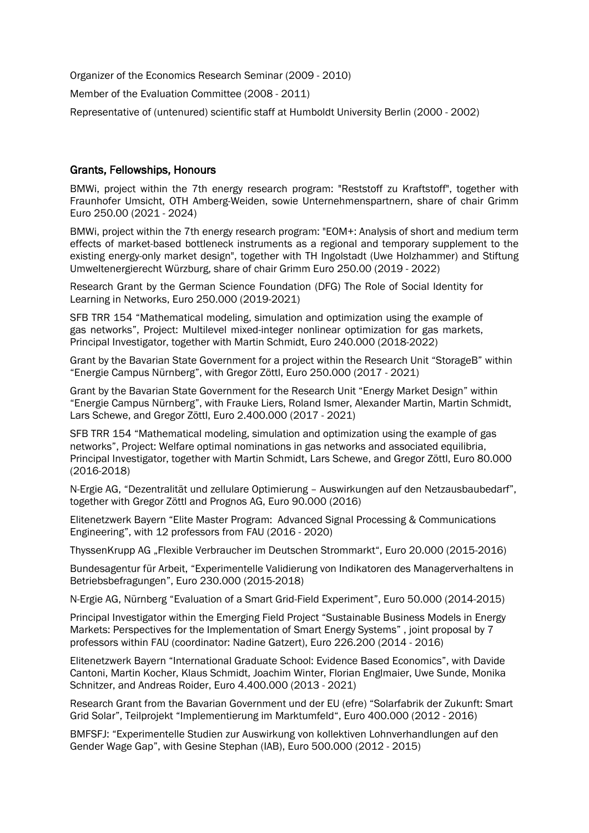Organizer of the Economics Research Seminar (2009 - 2010)

Member of the Evaluation Committee (2008 - 2011)

Representative of (untenured) scientific staff at Humboldt University Berlin (2000 - 2002)

### Grants, Fellowships, Honours

BMWi, project within the 7th energy research program: "Reststoff zu Kraftstoff", together with Fraunhofer Umsicht, OTH Amberg-Weiden, sowie Unternehmenspartnern, share of chair Grimm Euro 250.00 (2021 - 2024)

BMWi, project within the 7th energy research program: "EOM+: Analysis of short and medium term effects of market-based bottleneck instruments as a regional and temporary supplement to the existing energy-only market design", together with TH Ingolstadt (Uwe Holzhammer) and Stiftung Umweltenergierecht Würzburg, share of chair Grimm Euro 250.00 (2019 - 2022)

Research Grant by the German Science Foundation (DFG) The Role of Social Identity for Learning in Networks, Euro 250.000 (2019-2021)

SFB TRR 154 "Mathematical modeling, simulation and optimization using the example of gas networks", Project: Multilevel mixed-integer nonlinear optimization for gas markets, Principal Investigator, together with Martin Schmidt, Euro 240.000 (2018-2022)

Grant by the Bavarian State Government for a project within the Research Unit "StorageB" within "Energie Campus Nürnberg", with Gregor Zöttl, Euro 250.000 (2017 - 2021)

Grant by the Bavarian State Government for the Research Unit "Energy Market Design" within "Energie Campus Nürnberg", with Frauke Liers, Roland Ismer, Alexander Martin, Martin Schmidt, Lars Schewe, and Gregor Zöttl, Euro 2.400.000 (2017 - 2021)

SFB TRR 154 "Mathematical modeling, simulation and optimization using the example of gas networks", Project: Welfare optimal nominations in gas networks and associated equilibria, Principal Investigator, together with Martin Schmidt, Lars Schewe, and Gregor Zöttl, Euro 80.000 (2016-2018)

N-Ergie AG, "Dezentralität und zellulare Optimierung – Auswirkungen auf den Netzausbaubedarf", together with Gregor Zöttl and Prognos AG, Euro 90.000 (2016)

Elitenetzwerk Bayern "Elite Master Program: Advanced Signal Processing & Communications Engineering", with 12 professors from FAU (2016 - 2020)

ThyssenKrupp AG "Flexible Verbraucher im Deutschen Strommarkt", Euro 20.000 (2015-2016)

Bundesagentur für Arbeit, "Experimentelle Validierung von Indikatoren des Managerverhaltens in Betriebsbefragungen", Euro 230.000 (2015-2018)

N-Ergie AG, Nürnberg "Evaluation of a Smart Grid-Field Experiment", Euro 50.000 (2014-2015)

Principal Investigator within the Emerging Field Project "Sustainable Business Models in Energy Markets: Perspectives for the Implementation of Smart Energy Systems" , joint proposal by 7 professors within FAU (coordinator: Nadine Gatzert), Euro 226.200 (2014 - 2016)

Elitenetzwerk Bayern "International Graduate School: Evidence Based Economics", with Davide Cantoni, Martin Kocher, Klaus Schmidt, Joachim Winter, Florian Englmaier, Uwe Sunde, Monika Schnitzer, and Andreas Roider, Euro 4.400.000 (2013 - 2021)

Research Grant from the Bavarian Government und der EU (efre) "Solarfabrik der Zukunft: Smart Grid Solar", Teilprojekt "Implementierung im Marktumfeld", Euro 400.000 (2012 - 2016)

BMFSFJ: "Experimentelle Studien zur Auswirkung von kollektiven Lohnverhandlungen auf den Gender Wage Gap", with Gesine Stephan (IAB), Euro 500.000 (2012 - 2015)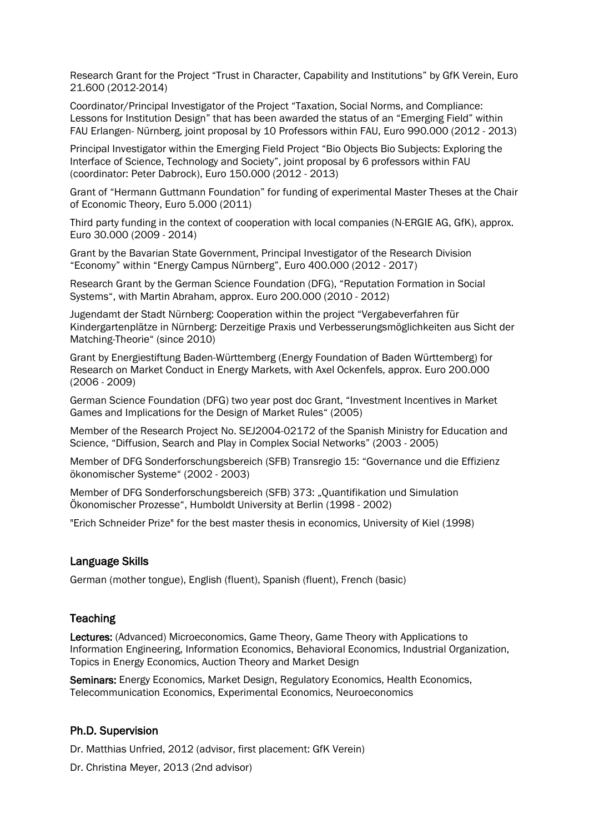Research Grant for the Project "Trust in Character, Capability and Institutions" by GfK Verein, Euro 21.600 (2012-2014)

Coordinator/Principal Investigator of the Project "Taxation, Social Norms, and Compliance: Lessons for Institution Design" that has been awarded the status of an "Emerging Field" within FAU Erlangen- Nürnberg, joint proposal by 10 Professors within FAU, Euro 990.000 (2012 - 2013)

Principal Investigator within the Emerging Field Project "Bio Objects Bio Subjects: Exploring the Interface of Science, Technology and Society", joint proposal by 6 professors within FAU (coordinator: Peter Dabrock), Euro 150.000 (2012 - 2013)

Grant of "Hermann Guttmann Foundation" for funding of experimental Master Theses at the Chair of Economic Theory, Euro 5.000 (2011)

Third party funding in the context of cooperation with local companies (N-ERGIE AG, GfK), approx. Euro 30.000 (2009 - 2014)

Grant by the Bavarian State Government, Principal Investigator of the Research Division "Economy" within "Energy Campus Nürnberg", Euro 400.000 (2012 - 2017)

Research Grant by the German Science Foundation (DFG), "Reputation Formation in Social Systems", with Martin Abraham, approx. Euro 200.000 (2010 - 2012)

Jugendamt der Stadt Nürnberg: Cooperation within the project "Vergabeverfahren für Kindergartenplätze in Nürnberg: Derzeitige Praxis und Verbesserungsmöglichkeiten aus Sicht der Matching-Theorie" (since 2010)

Grant by Energiestiftung Baden-Württemberg (Energy Foundation of Baden Württemberg) for Research on Market Conduct in Energy Markets, with Axel Ockenfels, approx. Euro 200.000 (2006 - 2009)

German Science Foundation (DFG) two year post doc Grant, "Investment Incentives in Market Games and Implications for the Design of Market Rules" (2005)

Member of the Research Project No. SEJ2004-02172 of the Spanish Ministry for Education and Science, "Diffusion, Search and Play in Complex Social Networks" (2003 - 2005)

Member of DFG Sonderforschungsbereich (SFB) Transregio 15: "Governance und die Effizienz ökonomischer Systeme" (2002 - 2003)

Member of DFG Sonderforschungsbereich (SFB) 373: "Quantifikation und Simulation Ökonomischer Prozesse", Humboldt University at Berlin (1998 - 2002)

"Erich Schneider Prize" for the best master thesis in economics, University of Kiel (1998)

#### Language Skills

German (mother tongue), English (fluent), Spanish (fluent), French (basic)

#### **Teaching**

Lectures: (Advanced) Microeconomics, Game Theory, Game Theory with Applications to Information Engineering, Information Economics, Behavioral Economics, Industrial Organization, Topics in Energy Economics, Auction Theory and Market Design

Seminars: Energy Economics, Market Design, Regulatory Economics, Health Economics, Telecommunication Economics, Experimental Economics, Neuroeconomics

#### Ph.D. Supervision

Dr. Matthias Unfried, 2012 (advisor, first placement: GfK Verein)

Dr. Christina Meyer, 2013 (2nd advisor)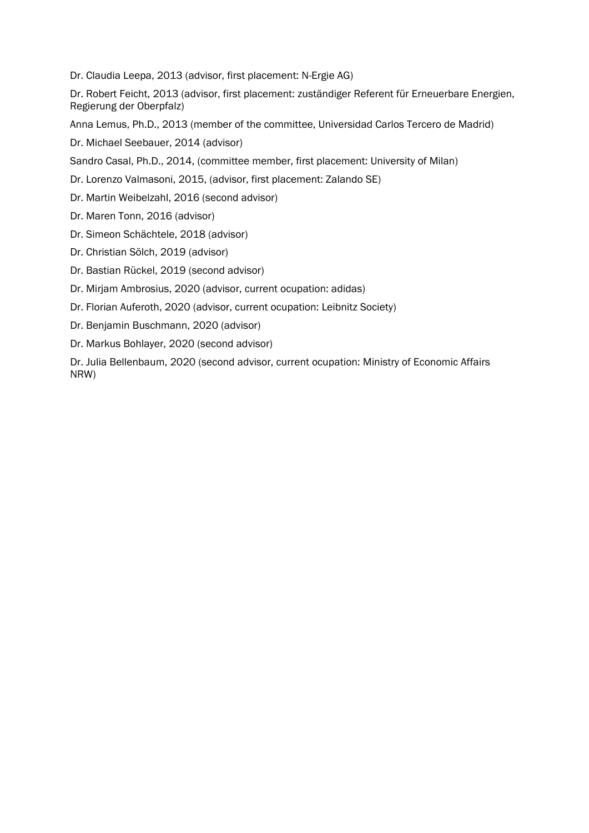Dr. Claudia Leepa, 2013 (advisor, first placement: N-Ergie AG)

Dr. Robert Feicht, 2013 (advisor, first placement: zuständiger Referent für Erneuerbare Energien, Regierung der Oberpfalz)

Anna Lemus, Ph.D., 2013 (member of the committee, Universidad Carlos Tercero de Madrid)

Dr. Michael Seebauer, 2014 (advisor)

Sandro Casal, Ph.D., 2014, (committee member, first placement: University of Milan)

Dr. Lorenzo Valmasoni, 2015, (advisor, first placement: Zalando SE)

Dr. Martin Weibelzahl, 2016 (second advisor)

Dr. Maren Tonn, 2016 (advisor)

- Dr. Simeon Schächtele, 2018 (advisor)
- Dr. Christian Sölch, 2019 (advisor)
- Dr. Bastian Rückel, 2019 (second advisor)
- Dr. Mirjam Ambrosius, 2020 (advisor, current ocupation: adidas)
- Dr. Florian Auferoth, 2020 (advisor, current ocupation: Leibnitz Society)
- Dr. Benjamin Buschmann, 2020 (advisor)
- Dr. Markus Bohlayer, 2020 (second advisor)

Dr. Julia Bellenbaum, 2020 (second advisor, current ocupation: Ministry of Economic Affairs NRW)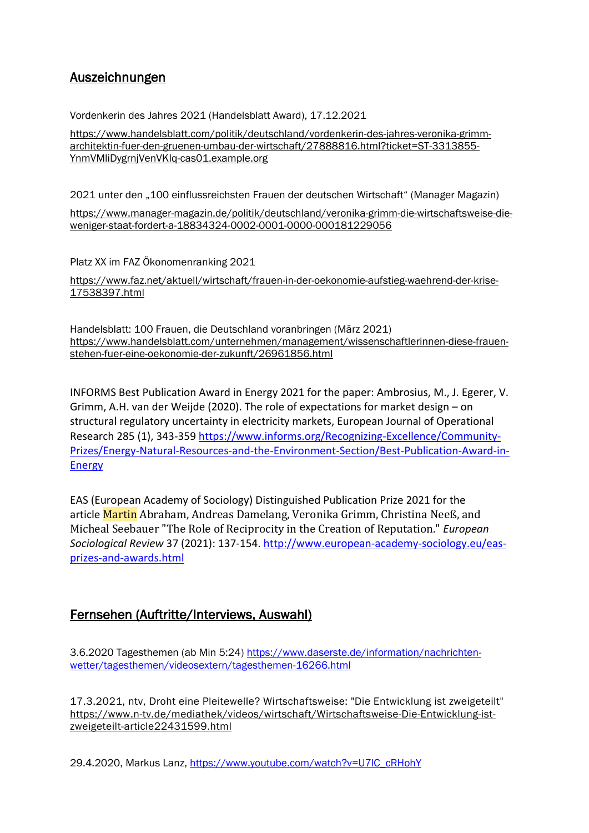# Auszeichnungen

Vordenkerin des Jahres 2021 (Handelsblatt Award), 17.12.2021

[https://www.handelsblatt.com/politik/deutschland/vordenkerin-des-jahres-veronika-grimm](https://www.handelsblatt.com/politik/deutschland/vordenkerin-des-jahres-veronika-grimm-architektin-fuer-den-gruenen-umbau-der-wirtschaft/27888816.html?ticket=ST-3313855-YnmVMliDygrnjVenVKIq-cas01.example.org)[architektin-fuer-den-gruenen-umbau-der-wirtschaft/27888816.html?ticket=ST-3313855-](https://www.handelsblatt.com/politik/deutschland/vordenkerin-des-jahres-veronika-grimm-architektin-fuer-den-gruenen-umbau-der-wirtschaft/27888816.html?ticket=ST-3313855-YnmVMliDygrnjVenVKIq-cas01.example.org) [YnmVMliDygrnjVenVKIq-cas01.example.org](https://www.handelsblatt.com/politik/deutschland/vordenkerin-des-jahres-veronika-grimm-architektin-fuer-den-gruenen-umbau-der-wirtschaft/27888816.html?ticket=ST-3313855-YnmVMliDygrnjVenVKIq-cas01.example.org)

2021 unter den "100 einflussreichsten Frauen der deutschen Wirtschaft" (Manager Magazin) [https://www.manager-magazin.de/politik/deutschland/veronika-grimm-die-wirtschaftsweise-die](https://www.manager-magazin.de/politik/deutschland/veronika-grimm-die-wirtschaftsweise-die-weniger-staat-fordert-a-18834324-0002-0001-0000-000181229056)[weniger-staat-fordert-a-18834324-0002-0001-0000-000181229056](https://www.manager-magazin.de/politik/deutschland/veronika-grimm-die-wirtschaftsweise-die-weniger-staat-fordert-a-18834324-0002-0001-0000-000181229056)

Platz XX im FAZ Ökonomenranking 2021

[https://www.faz.net/aktuell/wirtschaft/frauen-in-der-oekonomie-aufstieg-waehrend-der-krise-](https://www.faz.net/aktuell/wirtschaft/frauen-in-der-oekonomie-aufstieg-waehrend-der-krise-17538397.html)[17538397.html](https://www.faz.net/aktuell/wirtschaft/frauen-in-der-oekonomie-aufstieg-waehrend-der-krise-17538397.html)

Handelsblatt: 100 Frauen, die Deutschland voranbringen (März 2021) [https://www.handelsblatt.com/unternehmen/management/wissenschaftlerinnen-diese-frauen](https://www.handelsblatt.com/unternehmen/management/wissenschaftlerinnen-diese-frauen-stehen-fuer-eine-oekonomie-der-zukunft/26961856.html)[stehen-fuer-eine-oekonomie-der-zukunft/26961856.html](https://www.handelsblatt.com/unternehmen/management/wissenschaftlerinnen-diese-frauen-stehen-fuer-eine-oekonomie-der-zukunft/26961856.html)

INFORMS Best Publication Award in Energy 2021 for the paper: Ambrosius, M., J. Egerer, V. Grimm, A.H. van der Weijde (2020). The role of expectations for market design – on structural regulatory uncertainty in electricity markets, European Journal of Operational Research 285 (1), 343-359 [https://www.informs.org/Recognizing-Excellence/Community-](https://www.informs.org/Recognizing-Excellence/Community-Prizes/Energy-Natural-Resources-and-the-Environment-Section/Best-Publication-Award-in-Energy)[Prizes/Energy-Natural-Resources-and-the-Environment-Section/Best-Publication-Award-in-](https://www.informs.org/Recognizing-Excellence/Community-Prizes/Energy-Natural-Resources-and-the-Environment-Section/Best-Publication-Award-in-Energy)[Energy](https://www.informs.org/Recognizing-Excellence/Community-Prizes/Energy-Natural-Resources-and-the-Environment-Section/Best-Publication-Award-in-Energy)

EAS (European Academy of Sociology) Distinguished Publication Prize 2021 for the article Martin Abraham, Andreas Damelang, Veronika Grimm, Christina Neeß, and Micheal Seebauer "The Role of Reciprocity in the Creation of Reputation." *European Sociological Review* 37 (2021): 137-154. [http://www.european-academy-sociology.eu/eas](http://www.european-academy-sociology.eu/eas-prizes-and-awards.html)[prizes-and-awards.html](http://www.european-academy-sociology.eu/eas-prizes-and-awards.html)

# Fernsehen (Auftritte/Interviews, Auswahl)

3.6.2020 Tagesthemen (ab Min 5:24) [https://www.daserste.de/information/nachrichten](https://www.daserste.de/information/nachrichten-wetter/tagesthemen/videosextern/tagesthemen-16266.html)[wetter/tagesthemen/videosextern/tagesthemen-16266.html](https://www.daserste.de/information/nachrichten-wetter/tagesthemen/videosextern/tagesthemen-16266.html)

17.3.2021, ntv, Droht eine Pleitewelle? Wirtschaftsweise: "Die Entwicklung ist zweigeteilt" [https://www.n-tv.de/mediathek/videos/wirtschaft/Wirtschaftsweise-Die-Entwicklung-ist](https://www.n-tv.de/mediathek/videos/wirtschaft/Wirtschaftsweise-Die-Entwicklung-ist-zweigeteilt-article22431599.html)[zweigeteilt-article22431599.html](https://www.n-tv.de/mediathek/videos/wirtschaft/Wirtschaftsweise-Die-Entwicklung-ist-zweigeteilt-article22431599.html)

29.4.2020, Markus Lanz, https://www.youtube.com/watch?v=U7IC\_cRHohY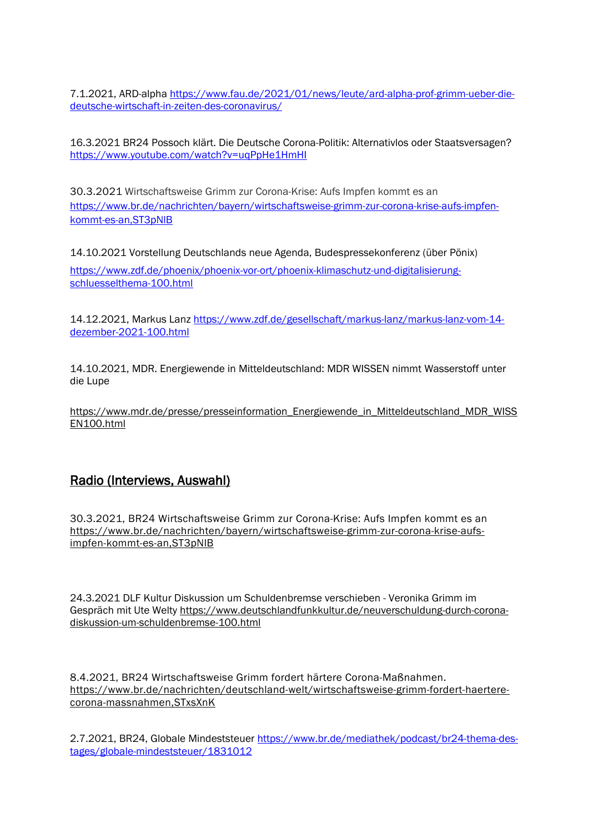7.1.2021, ARD-alpha [https://www.fau.de/2021/01/news/leute/ard-alpha-prof-grimm-ueber-die](https://www.fau.de/2021/01/news/leute/ard-alpha-prof-grimm-ueber-die-deutsche-wirtschaft-in-zeiten-des-coronavirus/)[deutsche-wirtschaft-in-zeiten-des-coronavirus/](https://www.fau.de/2021/01/news/leute/ard-alpha-prof-grimm-ueber-die-deutsche-wirtschaft-in-zeiten-des-coronavirus/)

16.3.2021 BR24 Possoch klärt. Die Deutsche Corona-Politik: Alternativlos oder Staatsversagen? <https://www.youtube.com/watch?v=uqPpHe1HmHI>

30.3.2021 Wirtschaftsweise Grimm zur Corona-Krise: Aufs Impfen kommt es an [https://www.br.de/nachrichten/bayern/wirtschaftsweise-grimm-zur-corona-krise-aufs-impfen](https://www.br.de/nachrichten/bayern/wirtschaftsweise-grimm-zur-corona-krise-aufs-impfen-kommt-es-an,ST3pNlB)[kommt-es-an,ST3pNlB](https://www.br.de/nachrichten/bayern/wirtschaftsweise-grimm-zur-corona-krise-aufs-impfen-kommt-es-an,ST3pNlB)

14.10.2021 Vorstellung Deutschlands neue Agenda, Budespressekonferenz (über Pönix)

[https://www.zdf.de/phoenix/phoenix-vor-ort/phoenix-klimaschutz-und-digitalisierung](https://www.zdf.de/phoenix/phoenix-vor-ort/phoenix-klimaschutz-und-digitalisierung-schluesselthema-100.html)[schluesselthema-100.html](https://www.zdf.de/phoenix/phoenix-vor-ort/phoenix-klimaschutz-und-digitalisierung-schluesselthema-100.html)

14.12.2021, Markus Lanz [https://www.zdf.de/gesellschaft/markus-lanz/markus-lanz-vom-14](https://www.zdf.de/gesellschaft/markus-lanz/markus-lanz-vom-14-dezember-2021-100.html) [dezember-2021-100.html](https://www.zdf.de/gesellschaft/markus-lanz/markus-lanz-vom-14-dezember-2021-100.html)

14.10.2021, MDR. Energiewende in Mitteldeutschland: MDR WISSEN nimmt Wasserstoff unter die Lupe

[https://www.mdr.de/presse/presseinformation\\_Energiewende\\_in\\_Mitteldeutschland\\_MDR\\_WISS](https://www.mdr.de/presse/presseinformation_Energiewende_in_Mitteldeutschland_MDR_WISSEN100.html) [EN100.html](https://www.mdr.de/presse/presseinformation_Energiewende_in_Mitteldeutschland_MDR_WISSEN100.html)

## Radio (Interviews, Auswahl)

30.3.2021, BR24 Wirtschaftsweise Grimm zur Corona-Krise: Aufs Impfen kommt es an [https://www.br.de/nachrichten/bayern/wirtschaftsweise-grimm-zur-corona-krise-aufs](https://www.br.de/nachrichten/bayern/wirtschaftsweise-grimm-zur-corona-krise-aufs-impfen-kommt-es-an,ST3pNlB)[impfen-kommt-es-an,ST3pNlB](https://www.br.de/nachrichten/bayern/wirtschaftsweise-grimm-zur-corona-krise-aufs-impfen-kommt-es-an,ST3pNlB)

24.3.2021 DLF Kultur Diskussion um Schuldenbremse verschieben - Veronika Grimm im Gespräch mit Ute Welty [https://www.deutschlandfunkkultur.de/neuverschuldung-durch-corona](https://www.deutschlandfunkkultur.de/neuverschuldung-durch-corona-diskussion-um-schuldenbremse-100.html)[diskussion-um-schuldenbremse-100.html](https://www.deutschlandfunkkultur.de/neuverschuldung-durch-corona-diskussion-um-schuldenbremse-100.html)

8.4.2021, BR24 Wirtschaftsweise Grimm fordert härtere Corona-Maßnahmen. [https://www.br.de/nachrichten/deutschland-welt/wirtschaftsweise-grimm-fordert-haertere](https://www.br.de/nachrichten/deutschland-welt/wirtschaftsweise-grimm-fordert-haertere-corona-massnahmen,STxsXnK)[corona-massnahmen,STxsXnK](https://www.br.de/nachrichten/deutschland-welt/wirtschaftsweise-grimm-fordert-haertere-corona-massnahmen,STxsXnK)

2.7.2021, BR24, Globale Mindeststeuer [https://www.br.de/mediathek/podcast/br24-thema-des](https://www.br.de/mediathek/podcast/br24-thema-des-tages/globale-mindeststeuer/1831012)[tages/globale-mindeststeuer/1831012](https://www.br.de/mediathek/podcast/br24-thema-des-tages/globale-mindeststeuer/1831012)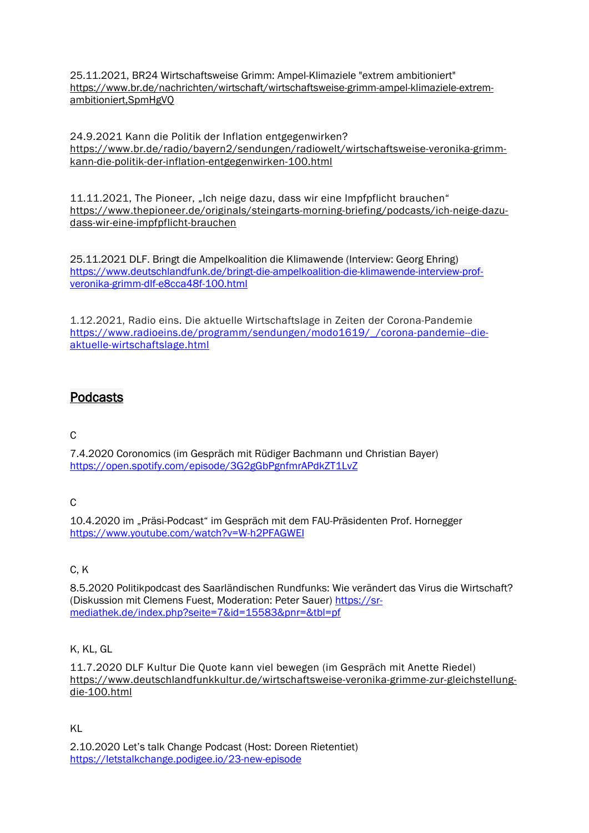25.11.2021, BR24 Wirtschaftsweise Grimm: Ampel-Klimaziele "extrem ambitioniert" [https://www.br.de/nachrichten/wirtschaft/wirtschaftsweise-grimm-ampel-klimaziele-extrem](https://www.br.de/nachrichten/wirtschaft/wirtschaftsweise-grimm-ampel-klimaziele-extrem-ambitioniert,SpmHgVQ)[ambitioniert,SpmHgVQ](https://www.br.de/nachrichten/wirtschaft/wirtschaftsweise-grimm-ampel-klimaziele-extrem-ambitioniert,SpmHgVQ)

24.9.2021 Kann die Politik der Inflation entgegenwirken? [https://www.br.de/radio/bayern2/sendungen/radiowelt/wirtschaftsweise-veronika-grimm](https://www.br.de/radio/bayern2/sendungen/radiowelt/wirtschaftsweise-veronika-grimm-kann-die-politik-der-inflation-entgegenwirken-100.html)[kann-die-politik-der-inflation-entgegenwirken-100.html](https://www.br.de/radio/bayern2/sendungen/radiowelt/wirtschaftsweise-veronika-grimm-kann-die-politik-der-inflation-entgegenwirken-100.html)

11.11.2021, The Pioneer, "Ich neige dazu, dass wir eine Impfpflicht brauchen" [https://www.thepioneer.de/originals/steingarts-morning-briefing/podcasts/ich-neige-dazu](https://www.thepioneer.de/originals/steingarts-morning-briefing/podcasts/ich-neige-dazu-dass-wir-eine-impfpflicht-brauchen)[dass-wir-eine-impfpflicht-brauchen](https://www.thepioneer.de/originals/steingarts-morning-briefing/podcasts/ich-neige-dazu-dass-wir-eine-impfpflicht-brauchen)

25.11.2021 DLF. Bringt die Ampelkoalition die Klimawende (Interview: Georg Ehring) [https://www.deutschlandfunk.de/bringt-die-ampelkoalition-die-klimawende-interview-prof](https://www.deutschlandfunk.de/bringt-die-ampelkoalition-die-klimawende-interview-prof-veronika-grimm-dlf-e8cca48f-100.html)[veronika-grimm-dlf-e8cca48f-100.html](https://www.deutschlandfunk.de/bringt-die-ampelkoalition-die-klimawende-interview-prof-veronika-grimm-dlf-e8cca48f-100.html)

1.12.2021, Radio eins. Die aktuelle Wirtschaftslage in Zeiten der Corona-Pandemie [https://www.radioeins.de/programm/sendungen/modo1619/\\_/corona-pandemie--die](https://www.radioeins.de/programm/sendungen/modo1619/_/corona-pandemie--die-aktuelle-wirtschaftslage.html)[aktuelle-wirtschaftslage.html](https://www.radioeins.de/programm/sendungen/modo1619/_/corona-pandemie--die-aktuelle-wirtschaftslage.html)

# Podcasts

### C

7.4.2020 Coronomics (im Gespräch mit Rüdiger Bachmann und Christian Bayer) <https://open.spotify.com/episode/3G2gGbPgnfmrAPdkZT1LvZ>

### $\mathcal{C}$

10.4.2020 im "Präsi-Podcast" im Gespräch mit dem FAU-Präsidenten Prof. Hornegger <https://www.youtube.com/watch?v=W-h2PFAGWEI>

### $C, K$

8.5.2020 Politikpodcast des Saarländischen Rundfunks: Wie verändert das Virus die Wirtschaft? (Diskussion mit Clemens Fuest, Moderation: Peter Sauer) [https://sr](https://sr-mediathek.de/index.php?seite=7&id=15583&pnr=&tbl=pf)[mediathek.de/index.php?seite=7&id=15583&pnr=&tbl=pf](https://sr-mediathek.de/index.php?seite=7&id=15583&pnr=&tbl=pf)

### K, KL, GL

11.7.2020 DLF Kultur Die Quote kann viel bewegen (im Gespräch mit Anette Riedel) [https://www.deutschlandfunkkultur.de/wirtschaftsweise-veronika-grimme-zur-gleichstellung](https://www.deutschlandfunkkultur.de/wirtschaftsweise-veronika-grimme-zur-gleichstellung-die-100.html)[die-100.html](https://www.deutschlandfunkkultur.de/wirtschaftsweise-veronika-grimme-zur-gleichstellung-die-100.html)

KL

2.10.2020 Let's talk Change Podcast (Host: Doreen Rietentiet) <https://letstalkchange.podigee.io/23-new-episode>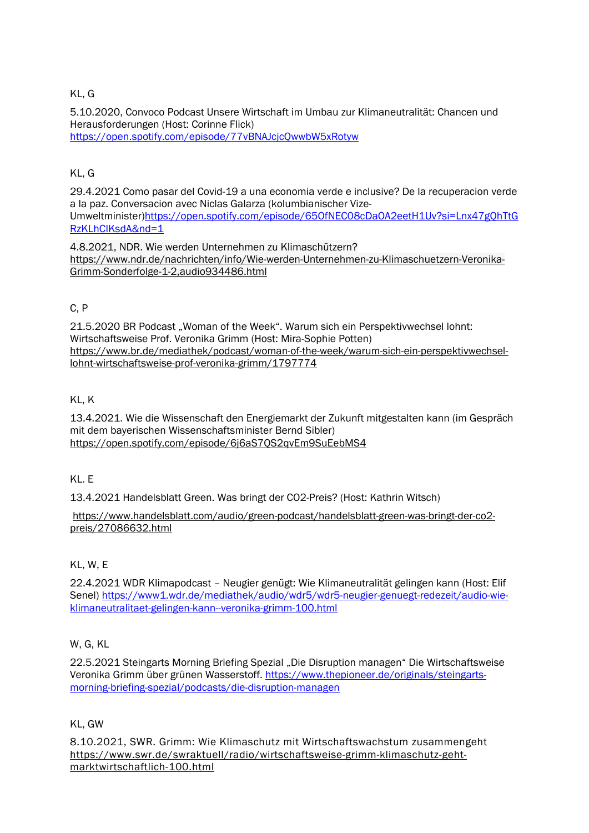### KL, G

5.10.2020, Convoco Podcast Unsere Wirtschaft im Umbau zur Klimaneutralität: Chancen und Herausforderungen (Host: Corinne Flick) <https://open.spotify.com/episode/77vBNAJcjcQwwbW5xRotyw>

## KL, G

29.4.2021 Como pasar del Covid-19 a una economia verde e inclusive? De la recuperacion verde a la paz. Conversacion avec Niclas Galarza (kolumbianischer Vize-Umweltminister[\)https://open.spotify.com/episode/65OfNEC08cDaOA2eetH1Uv?si=Lnx47gQhTtG](https://open.spotify.com/episode/65OfNEC08cDaOA2eetH1Uv?si=Lnx47gQhTtGRzKLhCIKsdA&nd=1) [RzKLhCIKsdA&nd=1](https://open.spotify.com/episode/65OfNEC08cDaOA2eetH1Uv?si=Lnx47gQhTtGRzKLhCIKsdA&nd=1)

4.8.2021, NDR. Wie werden Unternehmen zu Klimaschützern? [https://www.ndr.de/nachrichten/info/Wie-werden-Unternehmen-zu-Klimaschuetzern-Veronika-](https://www.ndr.de/nachrichten/info/Wie-werden-Unternehmen-zu-Klimaschuetzern-Veronika-Grimm-Sonderfolge-1-2,audio934486.html)[Grimm-Sonderfolge-1-2,audio934486.html](https://www.ndr.de/nachrichten/info/Wie-werden-Unternehmen-zu-Klimaschuetzern-Veronika-Grimm-Sonderfolge-1-2,audio934486.html)

### C, P

21.5.2020 BR Podcast "Woman of the Week". Warum sich ein Perspektivwechsel lohnt: Wirtschaftsweise Prof. Veronika Grimm (Host: Mira-Sophie Potten) [https://www.br.de/mediathek/podcast/woman-of-the-week/warum-sich-ein-perspektivwechsel](https://www.br.de/mediathek/podcast/woman-of-the-week/warum-sich-ein-perspektivwechsel-lohnt-wirtschaftsweise-prof-veronika-grimm/1797774)[lohnt-wirtschaftsweise-prof-veronika-grimm/1797774](https://www.br.de/mediathek/podcast/woman-of-the-week/warum-sich-ein-perspektivwechsel-lohnt-wirtschaftsweise-prof-veronika-grimm/1797774)

### KL, K

13.4.2021. Wie die Wissenschaft den Energiemarkt der Zukunft mitgestalten kann (im Gespräch mit dem bayerischen Wissenschaftsminister Bernd Sibler) <https://open.spotify.com/episode/6j6aS7QS2qvEm9SuEebMS4>

### KL. E

13.4.2021 Handelsblatt Green. Was bringt der CO2-Preis? (Host: Kathrin Witsch)

[https://www.handelsblatt.com/audio/green-podcast/handelsblatt-green-was-bringt-der-co2](https://www.handelsblatt.com/audio/green-podcast/handelsblatt-green-was-bringt-der-co2-preis/27086632.html) [preis/27086632.html](https://www.handelsblatt.com/audio/green-podcast/handelsblatt-green-was-bringt-der-co2-preis/27086632.html)

### KL, W, E

22.4.2021 WDR Klimapodcast – Neugier genügt: Wie Klimaneutralität gelingen kann (Host: Elif Senel) [https://www1.wdr.de/mediathek/audio/wdr5/wdr5-neugier-genuegt-redezeit/audio-wie](https://www1.wdr.de/mediathek/audio/wdr5/wdr5-neugier-genuegt-redezeit/audio-wie-klimaneutralitaet-gelingen-kann--veronika-grimm-100.html)[klimaneutralitaet-gelingen-kann--veronika-grimm-100.html](https://www1.wdr.de/mediathek/audio/wdr5/wdr5-neugier-genuegt-redezeit/audio-wie-klimaneutralitaet-gelingen-kann--veronika-grimm-100.html)

### W, G, KL

22.5.2021 Steingarts Morning Briefing Spezial "Die Disruption managen" Die Wirtschaftsweise Veronika Grimm über grünen Wasserstoff. [https://www.thepioneer.de/originals/steingarts](https://www.thepioneer.de/originals/steingarts-morning-briefing-spezial/podcasts/die-disruption-managen)[morning-briefing-spezial/podcasts/die-disruption-managen](https://www.thepioneer.de/originals/steingarts-morning-briefing-spezial/podcasts/die-disruption-managen)

### KL, GW

8.10.2021, SWR. Grimm: Wie Klimaschutz mit Wirtschaftswachstum zusammengeht [https://www.swr.de/swraktuell/radio/wirtschaftsweise-grimm-klimaschutz-geht](https://www.swr.de/swraktuell/radio/wirtschaftsweise-grimm-klimaschutz-geht-marktwirtschaftlich-100.html)[marktwirtschaftlich-100.html](https://www.swr.de/swraktuell/radio/wirtschaftsweise-grimm-klimaschutz-geht-marktwirtschaftlich-100.html)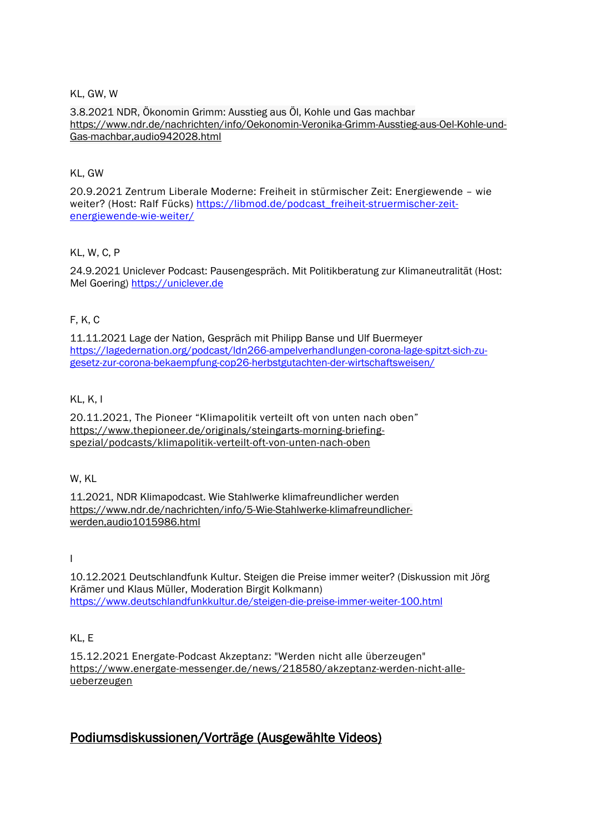KL, GW, W

3.8.2021 NDR, Ökonomin Grimm: Ausstieg aus Öl, Kohle und Gas machbar [https://www.ndr.de/nachrichten/info/Oekonomin-Veronika-Grimm-Ausstieg-aus-Oel-Kohle-und-](https://www.ndr.de/nachrichten/info/Oekonomin-Veronika-Grimm-Ausstieg-aus-Oel-Kohle-und-Gas-machbar,audio942028.html)[Gas-machbar,audio942028.html](https://www.ndr.de/nachrichten/info/Oekonomin-Veronika-Grimm-Ausstieg-aus-Oel-Kohle-und-Gas-machbar,audio942028.html)

### KL, GW

20.9.2021 Zentrum Liberale Moderne: Freiheit in stürmischer Zeit: Energiewende – wie weiter? (Host: Ralf Fücks) [https://libmod.de/podcast\\_freiheit-struermischer-zeit](https://libmod.de/podcast_freiheit-struermischer-zeit-energiewende-wie-weiter/)[energiewende-wie-weiter/](https://libmod.de/podcast_freiheit-struermischer-zeit-energiewende-wie-weiter/)

### KL, W, C, P

24.9.2021 Uniclever Podcast: Pausengespräch. Mit Politikberatung zur Klimaneutralität (Host: Mel Goering) [https://uniclever.de](https://uniclever.de/)

### F, K, C

11.11.2021 Lage der Nation, Gespräch mit Philipp Banse und Ulf Buermeyer [https://lagedernation.org/podcast/ldn266-ampelverhandlungen-corona-lage-spitzt-sich-zu](https://lagedernation.org/podcast/ldn266-ampelverhandlungen-corona-lage-spitzt-sich-zu-gesetz-zur-corona-bekaempfung-cop26-herbstgutachten-der-wirtschaftsweisen/)[gesetz-zur-corona-bekaempfung-cop26-herbstgutachten-der-wirtschaftsweisen/](https://lagedernation.org/podcast/ldn266-ampelverhandlungen-corona-lage-spitzt-sich-zu-gesetz-zur-corona-bekaempfung-cop26-herbstgutachten-der-wirtschaftsweisen/)

### KL, K, I

20.11.2021, The Pioneer "Klimapolitik verteilt oft von unten nach oben" [https://www.thepioneer.de/originals/steingarts-morning-briefing](https://www.thepioneer.de/originals/steingarts-morning-briefing-spezial/podcasts/klimapolitik-verteilt-oft-von-unten-nach-oben)[spezial/podcasts/klimapolitik-verteilt-oft-von-unten-nach-oben](https://www.thepioneer.de/originals/steingarts-morning-briefing-spezial/podcasts/klimapolitik-verteilt-oft-von-unten-nach-oben)

### W, KL

11.2021, NDR Klimapodcast. Wie Stahlwerke klimafreundlicher werden [https://www.ndr.de/nachrichten/info/5-Wie-Stahlwerke-klimafreundlicher](https://www.ndr.de/nachrichten/info/5-Wie-Stahlwerke-klimafreundlicher-werden,audio1015986.html)[werden,audio1015986.html](https://www.ndr.de/nachrichten/info/5-Wie-Stahlwerke-klimafreundlicher-werden,audio1015986.html)

I

10.12.2021 Deutschlandfunk Kultur. Steigen die Preise immer weiter? (Diskussion mit Jörg Krämer und Klaus Müller, Moderation Birgit Kolkmann) <https://www.deutschlandfunkkultur.de/steigen-die-preise-immer-weiter-100.html>

### KL, E

15.12.2021 Energate-Podcast Akzeptanz: "Werden nicht alle überzeugen" [https://www.energate-messenger.de/news/218580/akzeptanz-werden-nicht-alle](https://www.energate-messenger.de/news/218580/akzeptanz-werden-nicht-alle-ueberzeugen)[ueberzeugen](https://www.energate-messenger.de/news/218580/akzeptanz-werden-nicht-alle-ueberzeugen)

# Podiumsdiskussionen/Vorträge (Ausgewählte Videos)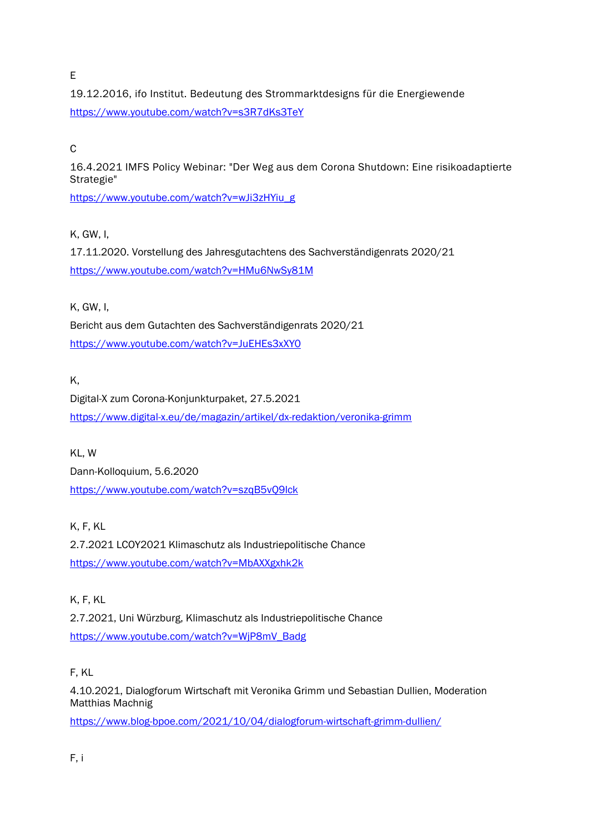E

19.12.2016, ifo Institut. Bedeutung des Strommarktdesigns für die Energiewende <https://www.youtube.com/watch?v=s3R7dKs3TeY>

## C

16.4.2021 IMFS Policy Webinar: "Der Weg aus dem Corona Shutdown: Eine risikoadaptierte Strategie"

[https://www.youtube.com/watch?v=wJi3zHYiu\\_g](https://www.youtube.com/watch?v=wJi3zHYiu_g)

K, GW, I,

17.11.2020. Vorstellung des Jahresgutachtens des Sachverständigenrats 2020/21 <https://www.youtube.com/watch?v=HMu6NwSy81M>

K, GW, I,

Bericht aus dem Gutachten des Sachverständigenrats 2020/21 <https://www.youtube.com/watch?v=JuEHEs3xXY0>

K,

Digital-X zum Corona-Konjunkturpaket, 27.5.2021 <https://www.digital-x.eu/de/magazin/artikel/dx-redaktion/veronika-grimm>

KL, W Dann-Kolloquium, 5.6.2020 <https://www.youtube.com/watch?v=szqB5vQ9lck>

K, F, KL

2.7.2021 LCOY2021 Klimaschutz als Industriepolitische Chance <https://www.youtube.com/watch?v=MbAXXgxhk2k>

K, F, KL 2.7.2021, Uni Würzburg, Klimaschutz als Industriepolitische Chance [https://www.youtube.com/watch?v=WjP8mV\\_Badg](https://www.youtube.com/watch?v=WjP8mV_Badg)

F, KL

4.10.2021, Dialogforum Wirtschaft mit Veronika Grimm und Sebastian Dullien, Moderation Matthias Machnig

<https://www.blog-bpoe.com/2021/10/04/dialogforum-wirtschaft-grimm-dullien/>

F, i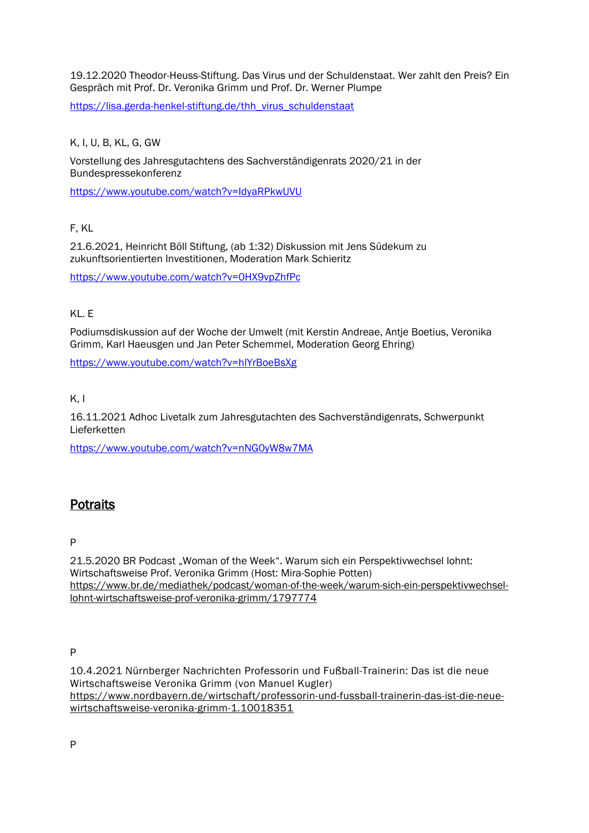#### 19.12.2020 Theodor-Heuss-Stiftung. Das Virus und der Schuldenstaat. Wer zahlt den Preis? Ein Gespräch mit Prof. Dr. Veronika Grimm und Prof. Dr. Werner Plumpe

[https://lisa.gerda-henkel-stiftung.de/thh\\_virus\\_schuldenstaat](https://lisa.gerda-henkel-stiftung.de/thh_virus_schuldenstaat)

### K, I, U, B, KL, G, GW

Vorstellung des Jahresgutachtens des Sachverständigenrats 2020/21 in der Bundespressekonferenz

<https://www.youtube.com/watch?v=IdyaRPkwUVU>

### F, KL

21.6.2021, Heinricht Böll Stiftung, (ab 1:32) Diskussion mit Jens Südekum zu zukunftsorientierten Investitionen, Moderation Mark Schieritz

<https://www.youtube.com/watch?v=0HX9vpZhfPc>

### KL. E

Podiumsdiskussion auf der Woche der Umwelt (mit Kerstin Andreae, Antje Boetius, Veronika Grimm, Karl Haeusgen und Jan Peter Schemmel, Moderation Georg Ehring)

<https://www.youtube.com/watch?v=hlYrBoeBsXg>

### $K, I$

16.11.2021 Adhoc Livetalk zum Jahresgutachten des Sachverständigenrats, Schwerpunkt Lieferketten

<https://www.youtube.com/watch?v=nNG0yW8w7MA>

# **Potraits**

#### P

21.5.2020 BR Podcast "Woman of the Week". Warum sich ein Perspektivwechsel lohnt: Wirtschaftsweise Prof. Veronika Grimm (Host: Mira-Sophie Potten) [https://www.br.de/mediathek/podcast/woman-of-the-week/warum-sich-ein-perspektivwechsel](https://www.br.de/mediathek/podcast/woman-of-the-week/warum-sich-ein-perspektivwechsel-lohnt-wirtschaftsweise-prof-veronika-grimm/1797774)[lohnt-wirtschaftsweise-prof-veronika-grimm/1797774](https://www.br.de/mediathek/podcast/woman-of-the-week/warum-sich-ein-perspektivwechsel-lohnt-wirtschaftsweise-prof-veronika-grimm/1797774)

P

10.4.2021 Nürnberger Nachrichten Professorin und Fußball-Trainerin: Das ist die neue Wirtschaftsweise Veronika Grimm (von Manuel Kugler) [https://www.nordbayern.de/wirtschaft/professorin-und-fussball-trainerin-das-ist-die-neue](https://www.nordbayern.de/wirtschaft/professorin-und-fussball-trainerin-das-ist-die-neue-wirtschaftsweise-veronika-grimm-1.10018351)[wirtschaftsweise-veronika-grimm-1.10018351](https://www.nordbayern.de/wirtschaft/professorin-und-fussball-trainerin-das-ist-die-neue-wirtschaftsweise-veronika-grimm-1.10018351)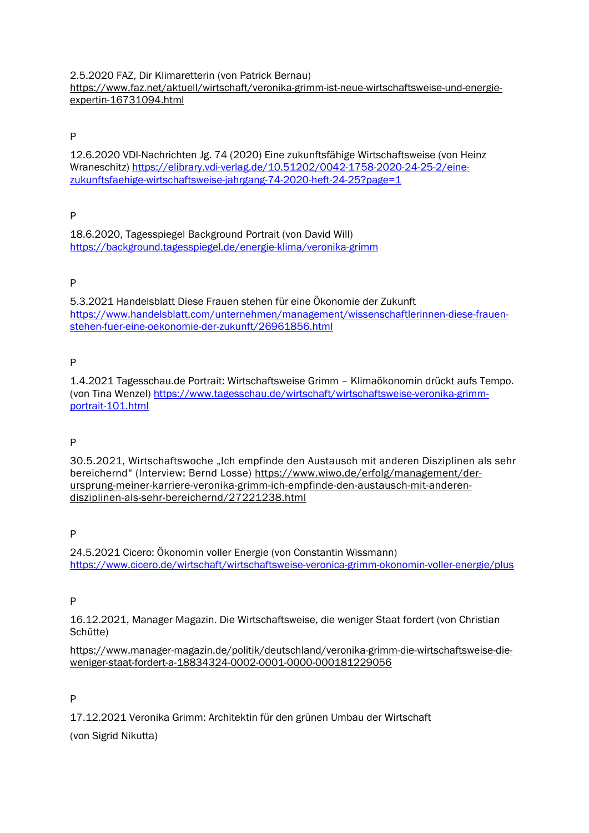2.5.2020 FAZ, Dir Klimaretterin (von Patrick Bernau) [https://www.faz.net/aktuell/wirtschaft/veronika-grimm-ist-neue-wirtschaftsweise-und-energie](https://www.faz.net/aktuell/wirtschaft/veronika-grimm-ist-neue-wirtschaftsweise-und-energie-expertin-16731094.html)[expertin-16731094.html](https://www.faz.net/aktuell/wirtschaft/veronika-grimm-ist-neue-wirtschaftsweise-und-energie-expertin-16731094.html)

### P

12.6.2020 VDI-Nachrichten Jg. 74 (2020) Eine zukunftsfähige Wirtschaftsweise (von Heinz Wraneschitz) [https://elibrary.vdi-verlag.de/10.51202/0042-1758-2020-24-25-2/eine](https://elibrary.vdi-verlag.de/10.51202/0042-1758-2020-24-25-2/eine-zukunftsfaehige-wirtschaftsweise-jahrgang-74-2020-heft-24-25?page=1)[zukunftsfaehige-wirtschaftsweise-jahrgang-74-2020-heft-24-25?page=1](https://elibrary.vdi-verlag.de/10.51202/0042-1758-2020-24-25-2/eine-zukunftsfaehige-wirtschaftsweise-jahrgang-74-2020-heft-24-25?page=1)

### P

18.6.2020, Tagesspiegel Background Portrait (von David Will) <https://background.tagesspiegel.de/energie-klima/veronika-grimm>

### P

5.3.2021 Handelsblatt Diese Frauen stehen für eine Ökonomie der Zukunft [https://www.handelsblatt.com/unternehmen/management/wissenschaftlerinnen-diese-frauen](https://www.handelsblatt.com/unternehmen/management/wissenschaftlerinnen-diese-frauen-stehen-fuer-eine-oekonomie-der-zukunft/26961856.html)[stehen-fuer-eine-oekonomie-der-zukunft/26961856.html](https://www.handelsblatt.com/unternehmen/management/wissenschaftlerinnen-diese-frauen-stehen-fuer-eine-oekonomie-der-zukunft/26961856.html)

### P

1.4.2021 Tagesschau.de Portrait: Wirtschaftsweise Grimm – Klimaökonomin drückt aufs Tempo. (von Tina Wenzel) [https://www.tagesschau.de/wirtschaft/wirtschaftsweise-veronika-grimm](https://www.tagesschau.de/wirtschaft/wirtschaftsweise-veronika-grimm-portrait-101.html)[portrait-101.html](https://www.tagesschau.de/wirtschaft/wirtschaftsweise-veronika-grimm-portrait-101.html)

### P

30.5.2021, Wirtschaftswoche "Ich empfinde den Austausch mit anderen Disziplinen als sehr bereichernd" (Interview: Bernd Losse) [https://www.wiwo.de/erfolg/management/der](https://www.wiwo.de/erfolg/management/der-ursprung-meiner-karriere-veronika-grimm-ich-empfinde-den-austausch-mit-anderen-disziplinen-als-sehr-bereichernd/27221238.html)[ursprung-meiner-karriere-veronika-grimm-ich-empfinde-den-austausch-mit-anderen](https://www.wiwo.de/erfolg/management/der-ursprung-meiner-karriere-veronika-grimm-ich-empfinde-den-austausch-mit-anderen-disziplinen-als-sehr-bereichernd/27221238.html)[disziplinen-als-sehr-bereichernd/27221238.html](https://www.wiwo.de/erfolg/management/der-ursprung-meiner-karriere-veronika-grimm-ich-empfinde-den-austausch-mit-anderen-disziplinen-als-sehr-bereichernd/27221238.html)

### P

24.5.2021 Cicero: Ökonomin voller Energie (von Constantin Wissmann) <https://www.cicero.de/wirtschaft/wirtschaftsweise-veronica-grimm-okonomin-voller-energie/plus>

### P

16.12.2021, Manager Magazin. Die Wirtschaftsweise, die weniger Staat fordert (von Christian Schütte)

[https://www.manager-magazin.de/politik/deutschland/veronika-grimm-die-wirtschaftsweise-die](https://www.manager-magazin.de/politik/deutschland/veronika-grimm-die-wirtschaftsweise-die-weniger-staat-fordert-a-18834324-0002-0001-0000-000181229056)[weniger-staat-fordert-a-18834324-0002-0001-0000-000181229056](https://www.manager-magazin.de/politik/deutschland/veronika-grimm-die-wirtschaftsweise-die-weniger-staat-fordert-a-18834324-0002-0001-0000-000181229056)

### P

17.12.2021 Veronika Grimm: Architektin für den grünen Umbau der Wirtschaft

(von Sigrid Nikutta)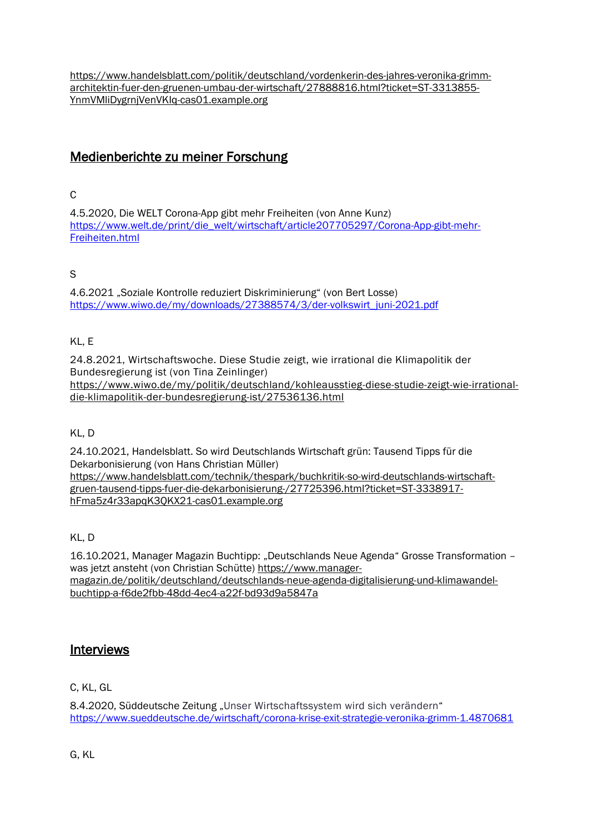[https://www.handelsblatt.com/politik/deutschland/vordenkerin-des-jahres-veronika-grimm](https://www.handelsblatt.com/politik/deutschland/vordenkerin-des-jahres-veronika-grimm-architektin-fuer-den-gruenen-umbau-der-wirtschaft/27888816.html?ticket=ST-3313855-YnmVMliDygrnjVenVKIq-cas01.example.org)[architektin-fuer-den-gruenen-umbau-der-wirtschaft/27888816.html?ticket=ST-3313855-](https://www.handelsblatt.com/politik/deutschland/vordenkerin-des-jahres-veronika-grimm-architektin-fuer-den-gruenen-umbau-der-wirtschaft/27888816.html?ticket=ST-3313855-YnmVMliDygrnjVenVKIq-cas01.example.org) [YnmVMliDygrnjVenVKIq-cas01.example.org](https://www.handelsblatt.com/politik/deutschland/vordenkerin-des-jahres-veronika-grimm-architektin-fuer-den-gruenen-umbau-der-wirtschaft/27888816.html?ticket=ST-3313855-YnmVMliDygrnjVenVKIq-cas01.example.org)

# Medienberichte zu meiner Forschung

### C

4.5.2020, Die WELT Corona-App gibt mehr Freiheiten (von Anne Kunz) [https://www.welt.de/print/die\\_welt/wirtschaft/article207705297/Corona-App-gibt-mehr-](https://www.welt.de/print/die_welt/wirtschaft/article207705297/Corona-App-gibt-mehr-Freiheiten.html)[Freiheiten.html](https://www.welt.de/print/die_welt/wirtschaft/article207705297/Corona-App-gibt-mehr-Freiheiten.html)

## S

4.6.2021 "Soziale Kontrolle reduziert Diskriminierung" (von Bert Losse) [https://www.wiwo.de/my/downloads/27388574/3/der-volkswirt\\_juni-2021.pdf](https://www.wiwo.de/my/downloads/27388574/3/der-volkswirt_juni-2021.pdf)

## KL, E

24.8.2021, Wirtschaftswoche. Diese Studie zeigt, wie irrational die Klimapolitik der Bundesregierung ist (von Tina Zeinlinger) [https://www.wiwo.de/my/politik/deutschland/kohleausstieg-diese-studie-zeigt-wie-irrational](https://www.wiwo.de/my/politik/deutschland/kohleausstieg-diese-studie-zeigt-wie-irrational-die-klimapolitik-der-bundesregierung-ist/27536136.html)[die-klimapolitik-der-bundesregierung-ist/27536136.html](https://www.wiwo.de/my/politik/deutschland/kohleausstieg-diese-studie-zeigt-wie-irrational-die-klimapolitik-der-bundesregierung-ist/27536136.html)

### KL, D

24.10.2021, Handelsblatt. So wird Deutschlands Wirtschaft grün: Tausend Tipps für die Dekarbonisierung (von Hans Christian Müller) [https://www.handelsblatt.com/technik/thespark/buchkritik-so-wird-deutschlands-wirtschaft](https://www.handelsblatt.com/technik/thespark/buchkritik-so-wird-deutschlands-wirtschaft-gruen-tausend-tipps-fuer-die-dekarbonisierung-/27725396.html?ticket=ST-3338917-hFma5z4r33apqK3QKX21-cas01.example.org)[gruen-tausend-tipps-fuer-die-dekarbonisierung-/27725396.html?ticket=ST-3338917](https://www.handelsblatt.com/technik/thespark/buchkritik-so-wird-deutschlands-wirtschaft-gruen-tausend-tipps-fuer-die-dekarbonisierung-/27725396.html?ticket=ST-3338917-hFma5z4r33apqK3QKX21-cas01.example.org) [hFma5z4r33apqK3QKX21-cas01.example.org](https://www.handelsblatt.com/technik/thespark/buchkritik-so-wird-deutschlands-wirtschaft-gruen-tausend-tipps-fuer-die-dekarbonisierung-/27725396.html?ticket=ST-3338917-hFma5z4r33apqK3QKX21-cas01.example.org)

KL, D

16.10.2021, Manager Magazin Buchtipp: "Deutschlands Neue Agenda" Grosse Transformation – was jetzt ansteht (von Christian Schütte) [https://www.manager](https://www.manager-magazin.de/politik/deutschland/deutschlands-neue-agenda-digitalisierung-und-klimawandel-buchtipp-a-f6de2fbb-48dd-4ec4-a22f-bd93d9a5847a)[magazin.de/politik/deutschland/deutschlands-neue-agenda-digitalisierung-und-klimawandel](https://www.manager-magazin.de/politik/deutschland/deutschlands-neue-agenda-digitalisierung-und-klimawandel-buchtipp-a-f6de2fbb-48dd-4ec4-a22f-bd93d9a5847a)[buchtipp-a-f6de2fbb-48dd-4ec4-a22f-bd93d9a5847a](https://www.manager-magazin.de/politik/deutschland/deutschlands-neue-agenda-digitalisierung-und-klimawandel-buchtipp-a-f6de2fbb-48dd-4ec4-a22f-bd93d9a5847a)

# **Interviews**

C, KL, GL

8.4.2020, Süddeutsche Zeitung "Unser Wirtschaftssystem wird sich verändern" <https://www.sueddeutsche.de/wirtschaft/corona-krise-exit-strategie-veronika-grimm-1.4870681>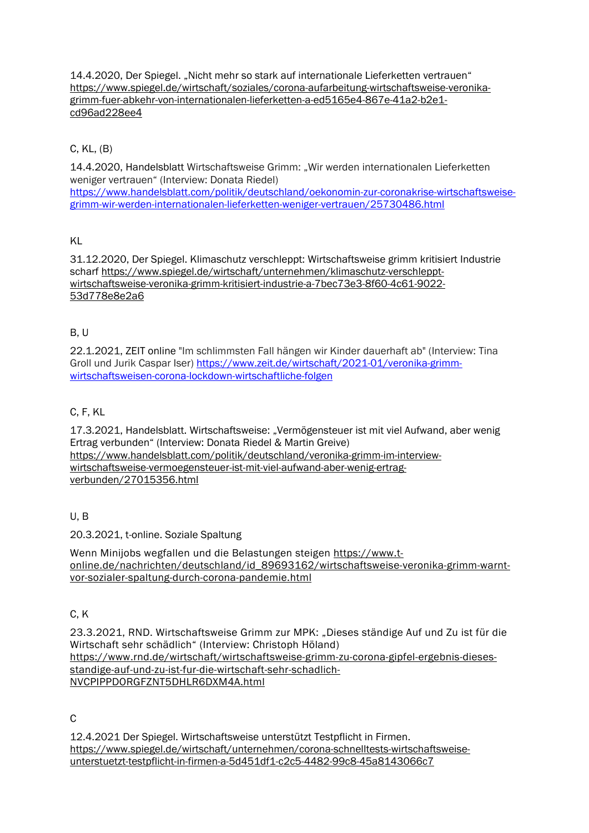14.4.2020, Der Spiegel. "Nicht mehr so stark auf internationale Lieferketten vertrauen" [https://www.spiegel.de/wirtschaft/soziales/corona-aufarbeitung-wirtschaftsweise-veronika](https://www.spiegel.de/wirtschaft/soziales/corona-aufarbeitung-wirtschaftsweise-veronika-grimm-fuer-abkehr-von-internationalen-lieferketten-a-ed5165e4-867e-41a2-b2e1-cd96ad228ee4)[grimm-fuer-abkehr-von-internationalen-lieferketten-a-ed5165e4-867e-41a2-b2e1](https://www.spiegel.de/wirtschaft/soziales/corona-aufarbeitung-wirtschaftsweise-veronika-grimm-fuer-abkehr-von-internationalen-lieferketten-a-ed5165e4-867e-41a2-b2e1-cd96ad228ee4) [cd96ad228ee4](https://www.spiegel.de/wirtschaft/soziales/corona-aufarbeitung-wirtschaftsweise-veronika-grimm-fuer-abkehr-von-internationalen-lieferketten-a-ed5165e4-867e-41a2-b2e1-cd96ad228ee4)

## C, KL, (B)

14.4.2020, Handelsblatt Wirtschaftsweise Grimm: "Wir werden internationalen Lieferketten weniger vertrauen" (Interview: Donata Riedel)

[https://www.handelsblatt.com/politik/deutschland/oekonomin-zur-coronakrise-wirtschaftsweise](https://www.handelsblatt.com/politik/deutschland/oekonomin-zur-coronakrise-wirtschaftsweise-grimm-wir-werden-internationalen-lieferketten-weniger-vertrauen/25730486.html)[grimm-wir-werden-internationalen-lieferketten-weniger-vertrauen/25730486.html](https://www.handelsblatt.com/politik/deutschland/oekonomin-zur-coronakrise-wirtschaftsweise-grimm-wir-werden-internationalen-lieferketten-weniger-vertrauen/25730486.html)

### KL

31.12.2020, Der Spiegel. Klimaschutz verschleppt: Wirtschaftsweise grimm kritisiert Industrie scharf [https://www.spiegel.de/wirtschaft/unternehmen/klimaschutz-verschleppt](https://www.spiegel.de/wirtschaft/unternehmen/klimaschutz-verschleppt-wirtschaftsweise-veronika-grimm-kritisiert-industrie-a-7bec73e3-8f60-4c61-9022-53d778e8e2a6)[wirtschaftsweise-veronika-grimm-kritisiert-industrie-a-7bec73e3-8f60-4c61-9022-](https://www.spiegel.de/wirtschaft/unternehmen/klimaschutz-verschleppt-wirtschaftsweise-veronika-grimm-kritisiert-industrie-a-7bec73e3-8f60-4c61-9022-53d778e8e2a6) [53d778e8e2a6](https://www.spiegel.de/wirtschaft/unternehmen/klimaschutz-verschleppt-wirtschaftsweise-veronika-grimm-kritisiert-industrie-a-7bec73e3-8f60-4c61-9022-53d778e8e2a6)

### B, U

22.1.2021, ZEIT online "Im schlimmsten Fall hängen wir Kinder dauerhaft ab" (Interview: Tina Groll und Jurik Caspar Iser) [https://www.zeit.de/wirtschaft/2021-01/veronika-grimm](https://www.zeit.de/wirtschaft/2021-01/veronika-grimm-wirtschaftsweisen-corona-lockdown-wirtschaftliche-folgen)[wirtschaftsweisen-corona-lockdown-wirtschaftliche-folgen](https://www.zeit.de/wirtschaft/2021-01/veronika-grimm-wirtschaftsweisen-corona-lockdown-wirtschaftliche-folgen)

## C, F, KL

17.3.2021, Handelsblatt. Wirtschaftsweise: "Vermögensteuer ist mit viel Aufwand, aber wenig Ertrag verbunden" (Interview: Donata Riedel & Martin Greive) [https://www.handelsblatt.com/politik/deutschland/veronika-grimm-im-interview](https://www.handelsblatt.com/politik/deutschland/veronika-grimm-im-interview-wirtschaftsweise-vermoegensteuer-ist-mit-viel-aufwand-aber-wenig-ertrag-verbunden/27015356.html)[wirtschaftsweise-vermoegensteuer-ist-mit-viel-aufwand-aber-wenig-ertrag](https://www.handelsblatt.com/politik/deutschland/veronika-grimm-im-interview-wirtschaftsweise-vermoegensteuer-ist-mit-viel-aufwand-aber-wenig-ertrag-verbunden/27015356.html)[verbunden/27015356.html](https://www.handelsblatt.com/politik/deutschland/veronika-grimm-im-interview-wirtschaftsweise-vermoegensteuer-ist-mit-viel-aufwand-aber-wenig-ertrag-verbunden/27015356.html)

### U, B

20.3.2021, t-online. Soziale Spaltung

Wenn Minijobs wegfallen und die Belastungen steigen [https://www.t](https://www.t-online.de/nachrichten/deutschland/id_89693162/wirtschaftsweise-veronika-grimm-warnt-vor-sozialer-spaltung-durch-corona-pandemie.html)[online.de/nachrichten/deutschland/id\\_89693162/wirtschaftsweise-veronika-grimm-warnt](https://www.t-online.de/nachrichten/deutschland/id_89693162/wirtschaftsweise-veronika-grimm-warnt-vor-sozialer-spaltung-durch-corona-pandemie.html)[vor-sozialer-spaltung-durch-corona-pandemie.html](https://www.t-online.de/nachrichten/deutschland/id_89693162/wirtschaftsweise-veronika-grimm-warnt-vor-sozialer-spaltung-durch-corona-pandemie.html)

### $C, K$

23.3.2021, RND. Wirtschaftsweise Grimm zur MPK: "Dieses ständige Auf und Zu ist für die Wirtschaft sehr schädlich" (Interview: Christoph Höland) [https://www.rnd.de/wirtschaft/wirtschaftsweise-grimm-zu-corona-gipfel-ergebnis-dieses](https://www.rnd.de/wirtschaft/wirtschaftsweise-grimm-zu-corona-gipfel-ergebnis-dieses-standige-auf-und-zu-ist-fur-die-wirtschaft-sehr-schadlich-NVCPIPPDORGFZNT5DHLR6DXM4A.html)[standige-auf-und-zu-ist-fur-die-wirtschaft-sehr-schadlich-](https://www.rnd.de/wirtschaft/wirtschaftsweise-grimm-zu-corona-gipfel-ergebnis-dieses-standige-auf-und-zu-ist-fur-die-wirtschaft-sehr-schadlich-NVCPIPPDORGFZNT5DHLR6DXM4A.html)[NVCPIPPDORGFZNT5DHLR6DXM4A.html](https://www.rnd.de/wirtschaft/wirtschaftsweise-grimm-zu-corona-gipfel-ergebnis-dieses-standige-auf-und-zu-ist-fur-die-wirtschaft-sehr-schadlich-NVCPIPPDORGFZNT5DHLR6DXM4A.html)

 $\mathcal{C}$ 

12.4.2021 Der Spiegel. Wirtschaftsweise unterstützt Testpflicht in Firmen. [https://www.spiegel.de/wirtschaft/unternehmen/corona-schnelltests-wirtschaftsweise](https://www.spiegel.de/wirtschaft/unternehmen/corona-schnelltests-wirtschaftsweise-unterstuetzt-testpflicht-in-firmen-a-5d451df1-c2c5-4482-99c8-45a8143066c7)[unterstuetzt-testpflicht-in-firmen-a-5d451df1-c2c5-4482-99c8-45a8143066c7](https://www.spiegel.de/wirtschaft/unternehmen/corona-schnelltests-wirtschaftsweise-unterstuetzt-testpflicht-in-firmen-a-5d451df1-c2c5-4482-99c8-45a8143066c7)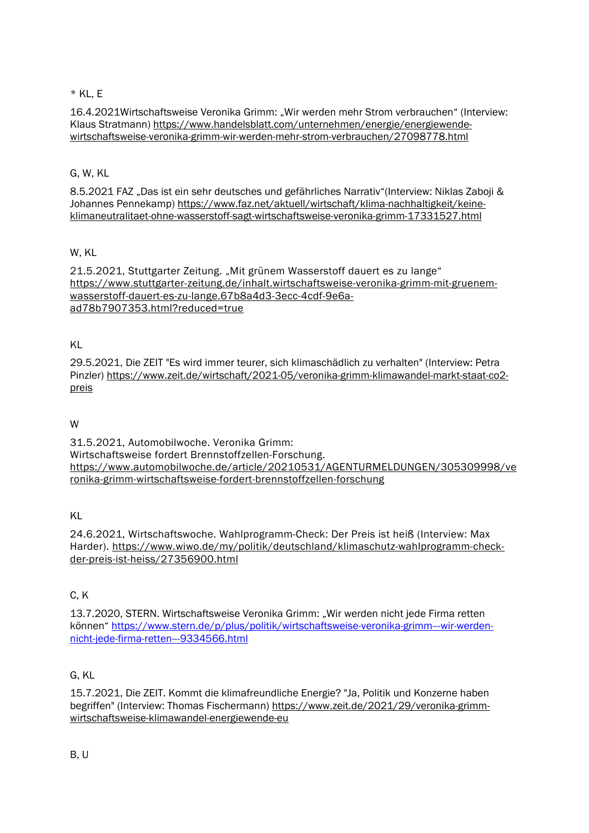### $*$  KL, E

16.4.2021Wirtschaftsweise Veronika Grimm: "Wir werden mehr Strom verbrauchen" (Interview: Klaus Stratmann) [https://www.handelsblatt.com/unternehmen/energie/energiewende](https://www.handelsblatt.com/unternehmen/energie/energiewende-wirtschaftsweise-veronika-grimm-wir-werden-mehr-strom-verbrauchen/27098778.html)[wirtschaftsweise-veronika-grimm-wir-werden-mehr-strom-verbrauchen/27098778.html](https://www.handelsblatt.com/unternehmen/energie/energiewende-wirtschaftsweise-veronika-grimm-wir-werden-mehr-strom-verbrauchen/27098778.html)

### G, W, KL

8.5.2021 FAZ "Das ist ein sehr deutsches und gefährliches Narrativ"(Interview: Niklas Zaboji & Johannes Pennekamp) [https://www.faz.net/aktuell/wirtschaft/klima-nachhaltigkeit/keine](https://www.faz.net/aktuell/wirtschaft/klima-nachhaltigkeit/keine-klimaneutralitaet-ohne-wasserstoff-sagt-wirtschaftsweise-veronika-grimm-17331527.html)[klimaneutralitaet-ohne-wasserstoff-sagt-wirtschaftsweise-veronika-grimm-17331527.html](https://www.faz.net/aktuell/wirtschaft/klima-nachhaltigkeit/keine-klimaneutralitaet-ohne-wasserstoff-sagt-wirtschaftsweise-veronika-grimm-17331527.html)

## W, KL

21.5.2021, Stuttgarter Zeitung. "Mit grünem Wasserstoff dauert es zu lange" [https://www.stuttgarter-zeitung.de/inhalt.wirtschaftsweise-veronika-grimm-mit-gruenem](https://www.stuttgarter-zeitung.de/inhalt.wirtschaftsweise-veronika-grimm-mit-gruenem-wasserstoff-dauert-es-zu-lange.67b8a4d3-3ecc-4cdf-9e6a-ad78b7907353.html?reduced=true)[wasserstoff-dauert-es-zu-lange.67b8a4d3-3ecc-4cdf-9e6a](https://www.stuttgarter-zeitung.de/inhalt.wirtschaftsweise-veronika-grimm-mit-gruenem-wasserstoff-dauert-es-zu-lange.67b8a4d3-3ecc-4cdf-9e6a-ad78b7907353.html?reduced=true)[ad78b7907353.html?reduced=true](https://www.stuttgarter-zeitung.de/inhalt.wirtschaftsweise-veronika-grimm-mit-gruenem-wasserstoff-dauert-es-zu-lange.67b8a4d3-3ecc-4cdf-9e6a-ad78b7907353.html?reduced=true)

## KL

29.5.2021, Die ZEIT "Es wird immer teurer, sich klimaschädlich zu verhalten" (Interview: Petra Pinzler) [https://www.zeit.de/wirtschaft/2021-05/veronika-grimm-klimawandel-markt-staat-co2](https://www.zeit.de/wirtschaft/2021-05/veronika-grimm-klimawandel-markt-staat-co2-preis) [preis](https://www.zeit.de/wirtschaft/2021-05/veronika-grimm-klimawandel-markt-staat-co2-preis)

### W

31.5.2021, Automobilwoche. Veronika Grimm: Wirtschaftsweise fordert Brennstoffzellen-Forschung. [https://www.automobilwoche.de/article/20210531/AGENTURMELDUNGEN/305309998/ve](https://www.automobilwoche.de/article/20210531/AGENTURMELDUNGEN/305309998/veronika-grimm-wirtschaftsweise-fordert-brennstoffzellen-forschung) [ronika-grimm-wirtschaftsweise-fordert-brennstoffzellen-forschung](https://www.automobilwoche.de/article/20210531/AGENTURMELDUNGEN/305309998/veronika-grimm-wirtschaftsweise-fordert-brennstoffzellen-forschung)

### KL

24.6.2021, Wirtschaftswoche. Wahlprogramm-Check: Der Preis ist heiß (Interview: Max Harder). [https://www.wiwo.de/my/politik/deutschland/klimaschutz-wahlprogramm-check](https://www.wiwo.de/my/politik/deutschland/klimaschutz-wahlprogramm-check-der-preis-ist-heiss/27356900.html)[der-preis-ist-heiss/27356900.html](https://www.wiwo.de/my/politik/deutschland/klimaschutz-wahlprogramm-check-der-preis-ist-heiss/27356900.html)

### C, K

13.7.2020, STERN. Wirtschaftsweise Veronika Grimm: "Wir werden nicht jede Firma retten können" [https://www.stern.de/p/plus/politik/wirtschaftsweise-veronika-grimm---wir-werden](https://www.stern.de/p/plus/politik/wirtschaftsweise-veronika-grimm---wir-werden-nicht-jede-firma-retten---9334566.html)[nicht-jede-firma-retten---9334566.html](https://www.stern.de/p/plus/politik/wirtschaftsweise-veronika-grimm---wir-werden-nicht-jede-firma-retten---9334566.html)

### G, KL

15.7.2021, Die ZEIT. Kommt die klimafreundliche Energie? "Ja, Politik und Konzerne haben begriffen" (Interview: Thomas Fischermann) [https://www.zeit.de/2021/29/veronika-grimm](https://www.zeit.de/2021/29/veronika-grimm-wirtschaftsweise-klimawandel-energiewende-eu)[wirtschaftsweise-klimawandel-energiewende-eu](https://www.zeit.de/2021/29/veronika-grimm-wirtschaftsweise-klimawandel-energiewende-eu)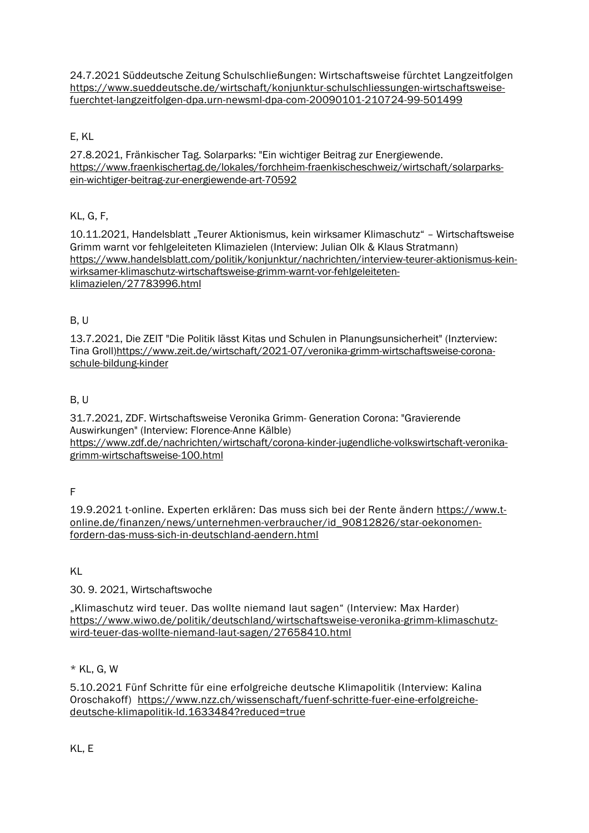24.7.2021 Süddeutsche Zeitung Schulschließungen: Wirtschaftsweise fürchtet Langzeitfolgen [https://www.sueddeutsche.de/wirtschaft/konjunktur-schulschliessungen-wirtschaftsweise](https://www.sueddeutsche.de/wirtschaft/konjunktur-schulschliessungen-wirtschaftsweise-fuerchtet-langzeitfolgen-dpa.urn-newsml-dpa-com-20090101-210724-99-501499)[fuerchtet-langzeitfolgen-dpa.urn-newsml-dpa-com-20090101-210724-99-501499](https://www.sueddeutsche.de/wirtschaft/konjunktur-schulschliessungen-wirtschaftsweise-fuerchtet-langzeitfolgen-dpa.urn-newsml-dpa-com-20090101-210724-99-501499)

### E, KL

27.8.2021, Fränkischer Tag. Solarparks: "Ein wichtiger Beitrag zur Energiewende. [https://www.fraenkischertag.de/lokales/forchheim-fraenkischeschweiz/wirtschaft/solarparks](https://www.fraenkischertag.de/lokales/forchheim-fraenkischeschweiz/wirtschaft/solarparks-ein-wichtiger-beitrag-zur-energiewende-art-70592)[ein-wichtiger-beitrag-zur-energiewende-art-70592](https://www.fraenkischertag.de/lokales/forchheim-fraenkischeschweiz/wirtschaft/solarparks-ein-wichtiger-beitrag-zur-energiewende-art-70592)

### KL, G, F,

10.11.2021, Handelsblatt "Teurer Aktionismus, kein wirksamer Klimaschutz" – Wirtschaftsweise Grimm warnt vor fehlgeleiteten Klimazielen (Interview: Julian Olk & Klaus Stratmann) [https://www.handelsblatt.com/politik/konjunktur/nachrichten/interview-teurer-aktionismus-kein](https://www.handelsblatt.com/politik/konjunktur/nachrichten/interview-teurer-aktionismus-kein-wirksamer-klimaschutz-wirtschaftsweise-grimm-warnt-vor-fehlgeleiteten-klimazielen/27783996.html)[wirksamer-klimaschutz-wirtschaftsweise-grimm-warnt-vor-fehlgeleiteten](https://www.handelsblatt.com/politik/konjunktur/nachrichten/interview-teurer-aktionismus-kein-wirksamer-klimaschutz-wirtschaftsweise-grimm-warnt-vor-fehlgeleiteten-klimazielen/27783996.html)[klimazielen/27783996.html](https://www.handelsblatt.com/politik/konjunktur/nachrichten/interview-teurer-aktionismus-kein-wirksamer-klimaschutz-wirtschaftsweise-grimm-warnt-vor-fehlgeleiteten-klimazielen/27783996.html)

### B, U

13.7.2021, Die ZEIT "Die Politik lässt Kitas und Schulen in Planungsunsicherheit" (Inzterview: Tina Groll[\)https://www.zeit.de/wirtschaft/2021-07/veronika-grimm-wirtschaftsweise-corona](https://www.zeit.de/wirtschaft/2021-07/veronika-grimm-wirtschaftsweise-corona-schule-bildung-kinder)[schule-bildung-kinder](https://www.zeit.de/wirtschaft/2021-07/veronika-grimm-wirtschaftsweise-corona-schule-bildung-kinder)

### B, U

31.7.2021, ZDF. Wirtschaftsweise Veronika Grimm- Generation Corona: "Gravierende Auswirkungen" (Interview: Florence-Anne Kälble) [https://www.zdf.de/nachrichten/wirtschaft/corona-kinder-jugendliche-volkswirtschaft-veronika](https://www.zdf.de/nachrichten/wirtschaft/corona-kinder-jugendliche-volkswirtschaft-veronika-grimm-wirtschaftsweise-100.html)[grimm-wirtschaftsweise-100.html](https://www.zdf.de/nachrichten/wirtschaft/corona-kinder-jugendliche-volkswirtschaft-veronika-grimm-wirtschaftsweise-100.html)

F

19.9.2021 t-online. Experten erklären: Das muss sich bei der Rente ändern [https://www.t](https://www.t-online.de/finanzen/news/unternehmen-verbraucher/id_90812826/star-oekonomen-fordern-das-muss-sich-in-deutschland-aendern.html)[online.de/finanzen/news/unternehmen-verbraucher/id\\_90812826/star-oekonomen](https://www.t-online.de/finanzen/news/unternehmen-verbraucher/id_90812826/star-oekonomen-fordern-das-muss-sich-in-deutschland-aendern.html)[fordern-das-muss-sich-in-deutschland-aendern.html](https://www.t-online.de/finanzen/news/unternehmen-verbraucher/id_90812826/star-oekonomen-fordern-das-muss-sich-in-deutschland-aendern.html)

KL

### 30. 9. 2021, Wirtschaftswoche

"Klimaschutz wird teuer. Das wollte niemand laut sagen" (Interview: Max Harder) [https://www.wiwo.de/politik/deutschland/wirtschaftsweise-veronika-grimm-klimaschutz](https://www.wiwo.de/politik/deutschland/wirtschaftsweise-veronika-grimm-klimaschutz-wird-teuer-das-wollte-niemand-laut-sagen/27658410.html)[wird-teuer-das-wollte-niemand-laut-sagen/27658410.html](https://www.wiwo.de/politik/deutschland/wirtschaftsweise-veronika-grimm-klimaschutz-wird-teuer-das-wollte-niemand-laut-sagen/27658410.html)

## \* KL, G, W

5.10.2021 Fünf Schritte für eine erfolgreiche deutsche Klimapolitik (Interview: Kalina Oroschakoff) [https://www.nzz.ch/wissenschaft/fuenf-schritte-fuer-eine-erfolgreiche](https://www.nzz.ch/wissenschaft/fuenf-schritte-fuer-eine-erfolgreiche-deutsche-klimapolitik-ld.1633484?reduced=true)[deutsche-klimapolitik-ld.1633484?reduced=true](https://www.nzz.ch/wissenschaft/fuenf-schritte-fuer-eine-erfolgreiche-deutsche-klimapolitik-ld.1633484?reduced=true)

KL, E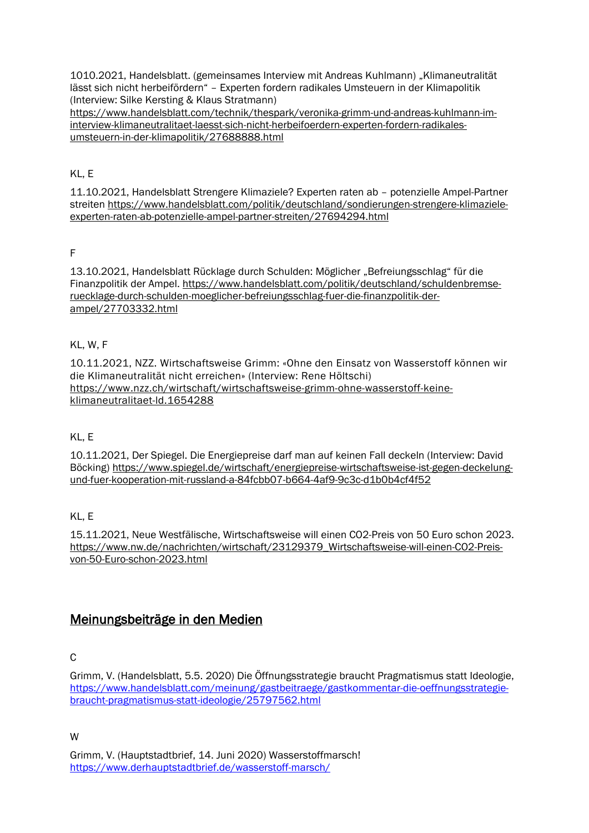1010.2021, Handelsblatt. (gemeinsames Interview mit Andreas Kuhlmann) "Klimaneutralität lässt sich nicht herbeifördern" – Experten fordern radikales Umsteuern in der Klimapolitik (Interview: Silke Kersting & Klaus Stratmann)

[https://www.handelsblatt.com/technik/thespark/veronika-grimm-und-andreas-kuhlmann-im](https://www.handelsblatt.com/technik/thespark/veronika-grimm-und-andreas-kuhlmann-im-interview-klimaneutralitaet-laesst-sich-nicht-herbeifoerdern-experten-fordern-radikales-umsteuern-in-der-klimapolitik/27688888.html)[interview-klimaneutralitaet-laesst-sich-nicht-herbeifoerdern-experten-fordern-radikales](https://www.handelsblatt.com/technik/thespark/veronika-grimm-und-andreas-kuhlmann-im-interview-klimaneutralitaet-laesst-sich-nicht-herbeifoerdern-experten-fordern-radikales-umsteuern-in-der-klimapolitik/27688888.html)[umsteuern-in-der-klimapolitik/27688888.html](https://www.handelsblatt.com/technik/thespark/veronika-grimm-und-andreas-kuhlmann-im-interview-klimaneutralitaet-laesst-sich-nicht-herbeifoerdern-experten-fordern-radikales-umsteuern-in-der-klimapolitik/27688888.html)

KL, E

11.10.2021, Handelsblatt Strengere Klimaziele? Experten raten ab – potenzielle Ampel-Partner streiten [https://www.handelsblatt.com/politik/deutschland/sondierungen-strengere-klimaziele](https://www.handelsblatt.com/politik/deutschland/sondierungen-strengere-klimaziele-experten-raten-ab-potenzielle-ampel-partner-streiten/27694294.html)[experten-raten-ab-potenzielle-ampel-partner-streiten/27694294.html](https://www.handelsblatt.com/politik/deutschland/sondierungen-strengere-klimaziele-experten-raten-ab-potenzielle-ampel-partner-streiten/27694294.html)

F

13.10.2021, Handelsblatt Rücklage durch Schulden: Möglicher "Befreiungsschlag" für die Finanzpolitik der Ampel. [https://www.handelsblatt.com/politik/deutschland/schuldenbremse](https://www.handelsblatt.com/politik/deutschland/schuldenbremse-ruecklage-durch-schulden-moeglicher-befreiungsschlag-fuer-die-finanzpolitik-der-ampel/27703332.html)[ruecklage-durch-schulden-moeglicher-befreiungsschlag-fuer-die-finanzpolitik-der](https://www.handelsblatt.com/politik/deutschland/schuldenbremse-ruecklage-durch-schulden-moeglicher-befreiungsschlag-fuer-die-finanzpolitik-der-ampel/27703332.html)[ampel/27703332.html](https://www.handelsblatt.com/politik/deutschland/schuldenbremse-ruecklage-durch-schulden-moeglicher-befreiungsschlag-fuer-die-finanzpolitik-der-ampel/27703332.html)

### KL, W, F

10.11.2021, NZZ. Wirtschaftsweise Grimm: «Ohne den Einsatz von Wasserstoff können wir die Klimaneutralität nicht erreichen» (Interview: Rene Höltschi) [https://www.nzz.ch/wirtschaft/wirtschaftsweise-grimm-ohne-wasserstoff-keine](https://www.nzz.ch/wirtschaft/wirtschaftsweise-grimm-ohne-wasserstoff-keine-klimaneutralitaet-ld.1654288)[klimaneutralitaet-ld.1654288](https://www.nzz.ch/wirtschaft/wirtschaftsweise-grimm-ohne-wasserstoff-keine-klimaneutralitaet-ld.1654288)

### KL, E

10.11.2021, Der Spiegel. Die Energiepreise darf man auf keinen Fall deckeln (Interview: David Böcking) [https://www.spiegel.de/wirtschaft/energiepreise-wirtschaftsweise-ist-gegen-deckelung](https://www.spiegel.de/wirtschaft/energiepreise-wirtschaftsweise-ist-gegen-deckelung-und-fuer-kooperation-mit-russland-a-84fcbb07-b664-4af9-9c3c-d1b0b4cf4f52)[und-fuer-kooperation-mit-russland-a-84fcbb07-b664-4af9-9c3c-d1b0b4cf4f52](https://www.spiegel.de/wirtschaft/energiepreise-wirtschaftsweise-ist-gegen-deckelung-und-fuer-kooperation-mit-russland-a-84fcbb07-b664-4af9-9c3c-d1b0b4cf4f52)

KL, E

15.11.2021, Neue Westfälische, Wirtschaftsweise will einen CO2-Preis von 50 Euro schon 2023. [https://www.nw.de/nachrichten/wirtschaft/23129379\\_Wirtschaftsweise-will-einen-CO2-Preis](https://www.nw.de/nachrichten/wirtschaft/23129379_Wirtschaftsweise-will-einen-CO2-Preis-von-50-Euro-schon-2023.html)[von-50-Euro-schon-2023.html](https://www.nw.de/nachrichten/wirtschaft/23129379_Wirtschaftsweise-will-einen-CO2-Preis-von-50-Euro-schon-2023.html)

# Meinungsbeiträge in den Medien

### $\mathcal{C}$

W

Grimm, V. (Handelsblatt, 5.5. 2020) Die Öffnungsstrategie braucht Pragmatismus statt Ideologie, [https://www.handelsblatt.com/meinung/gastbeitraege/gastkommentar-die-oeffnungsstrategie](https://www.handelsblatt.com/meinung/gastbeitraege/gastkommentar-die-oeffnungsstrategie-braucht-pragmatismus-statt-ideologie/25797562.html)[braucht-pragmatismus-statt-ideologie/25797562.html](https://www.handelsblatt.com/meinung/gastbeitraege/gastkommentar-die-oeffnungsstrategie-braucht-pragmatismus-statt-ideologie/25797562.html)

Grimm, V. (Hauptstadtbrief, 14. Juni 2020) Wasserstoffmarsch! <https://www.derhauptstadtbrief.de/wasserstoff-marsch/>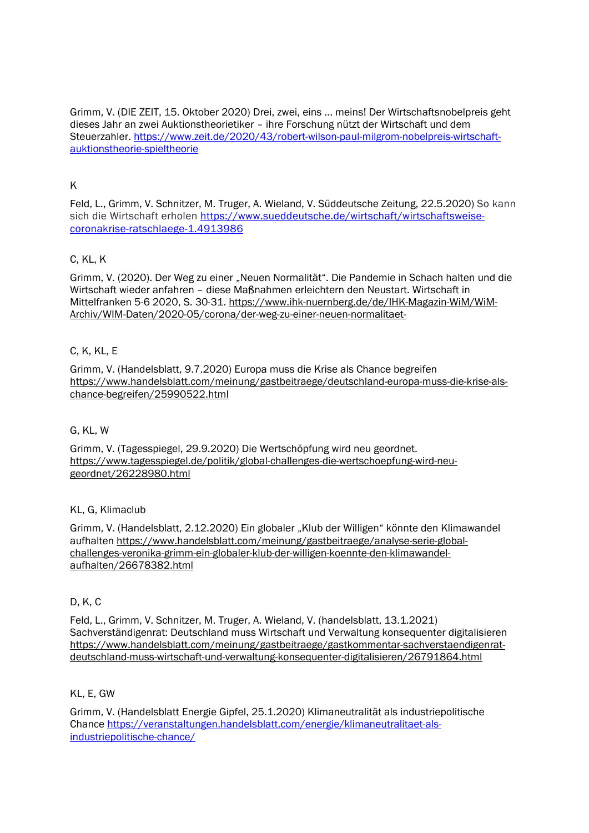Grimm, V. (DIE ZEIT, 15. Oktober 2020) Drei, zwei, eins ... meins! Der Wirtschaftsnobelpreis geht dieses Jahr an zwei Auktionstheorietiker – ihre Forschung nützt der Wirtschaft und dem Steuerzahler. [https://www.zeit.de/2020/43/robert-wilson-paul-milgrom-nobelpreis-wirtschaft](https://www.zeit.de/2020/43/robert-wilson-paul-milgrom-nobelpreis-wirtschaft-auktionstheorie-spieltheorie)[auktionstheorie-spieltheorie](https://www.zeit.de/2020/43/robert-wilson-paul-milgrom-nobelpreis-wirtschaft-auktionstheorie-spieltheorie)

### K

Feld, L., Grimm, V. Schnitzer, M. Truger, A. Wieland, V. Süddeutsche Zeitung, 22.5.2020) So kann sich die Wirtschaft erholen [https://www.sueddeutsche.de/wirtschaft/wirtschaftsweise](https://www.sueddeutsche.de/wirtschaft/wirtschaftsweise-coronakrise-ratschlaege-1.4913986)[coronakrise-ratschlaege-1.4913986](https://www.sueddeutsche.de/wirtschaft/wirtschaftsweise-coronakrise-ratschlaege-1.4913986)

### C, KL, K

Grimm, V. (2020). Der Weg zu einer "Neuen Normalität". Die Pandemie in Schach halten und die Wirtschaft wieder anfahren – diese Maßnahmen erleichtern den Neustart. Wirtschaft in Mittelfranken 5-6 2020, S. 30-31. [https://www.ihk-nuernberg.de/de/IHK-Magazin-WiM/WiM-](https://www.ihk-nuernberg.de/de/IHK-Magazin-WiM/WiM-Archiv/WIM-Daten/2020-05/corona/der-weg-zu-einer-neuen-normalitaet-)[Archiv/WIM-Daten/2020-05/corona/der-weg-zu-einer-neuen-normalitaet-](https://www.ihk-nuernberg.de/de/IHK-Magazin-WiM/WiM-Archiv/WIM-Daten/2020-05/corona/der-weg-zu-einer-neuen-normalitaet-)

### C, K, KL, E

Grimm, V. (Handelsblatt, 9.7.2020) Europa muss die Krise als Chance begreifen [https://www.handelsblatt.com/meinung/gastbeitraege/deutschland-europa-muss-die-krise-als](https://www.handelsblatt.com/meinung/gastbeitraege/deutschland-europa-muss-die-krise-als-chance-begreifen/25990522.html)[chance-begreifen/25990522.html](https://www.handelsblatt.com/meinung/gastbeitraege/deutschland-europa-muss-die-krise-als-chance-begreifen/25990522.html)

### G, KL, W

Grimm, V. (Tagesspiegel, 29.9.2020) Die Wertschöpfung wird neu geordnet. [https://www.tagesspiegel.de/politik/global-challenges-die-wertschoepfung-wird-neu](https://www.tagesspiegel.de/politik/global-challenges-die-wertschoepfung-wird-neu-geordnet/26228980.html)[geordnet/26228980.html](https://www.tagesspiegel.de/politik/global-challenges-die-wertschoepfung-wird-neu-geordnet/26228980.html)

### KL, G, Klimaclub

Grimm, V. (Handelsblatt, 2.12.2020) Ein globaler "Klub der Willigen" könnte den Klimawandel aufhalten [https://www.handelsblatt.com/meinung/gastbeitraege/analyse-serie-global](https://www.handelsblatt.com/meinung/gastbeitraege/analyse-serie-global-challenges-veronika-grimm-ein-globaler-klub-der-willigen-koennte-den-klimawandel-aufhalten/26678382.html)[challenges-veronika-grimm-ein-globaler-klub-der-willigen-koennte-den-klimawandel](https://www.handelsblatt.com/meinung/gastbeitraege/analyse-serie-global-challenges-veronika-grimm-ein-globaler-klub-der-willigen-koennte-den-klimawandel-aufhalten/26678382.html)[aufhalten/26678382.html](https://www.handelsblatt.com/meinung/gastbeitraege/analyse-serie-global-challenges-veronika-grimm-ein-globaler-klub-der-willigen-koennte-den-klimawandel-aufhalten/26678382.html)

### D, K, C

Feld, L., Grimm, V. Schnitzer, M. Truger, A. Wieland, V. (handelsblatt, 13.1.2021) Sachverständigenrat: Deutschland muss Wirtschaft und Verwaltung konsequenter digitalisieren [https://www.handelsblatt.com/meinung/gastbeitraege/gastkommentar-sachverstaendigenrat](https://www.handelsblatt.com/meinung/gastbeitraege/gastkommentar-sachverstaendigenrat-deutschland-muss-wirtschaft-und-verwaltung-konsequenter-digitalisieren/26791864.html)[deutschland-muss-wirtschaft-und-verwaltung-konsequenter-digitalisieren/26791864.html](https://www.handelsblatt.com/meinung/gastbeitraege/gastkommentar-sachverstaendigenrat-deutschland-muss-wirtschaft-und-verwaltung-konsequenter-digitalisieren/26791864.html)

### KL, E, GW

Grimm, V. (Handelsblatt Energie Gipfel, 25.1.2020) Klimaneutralität als industriepolitische Chance [https://veranstaltungen.handelsblatt.com/energie/klimaneutralitaet-als](https://veranstaltungen.handelsblatt.com/energie/klimaneutralitaet-als-industriepolitische-chance/)[industriepolitische-chance/](https://veranstaltungen.handelsblatt.com/energie/klimaneutralitaet-als-industriepolitische-chance/)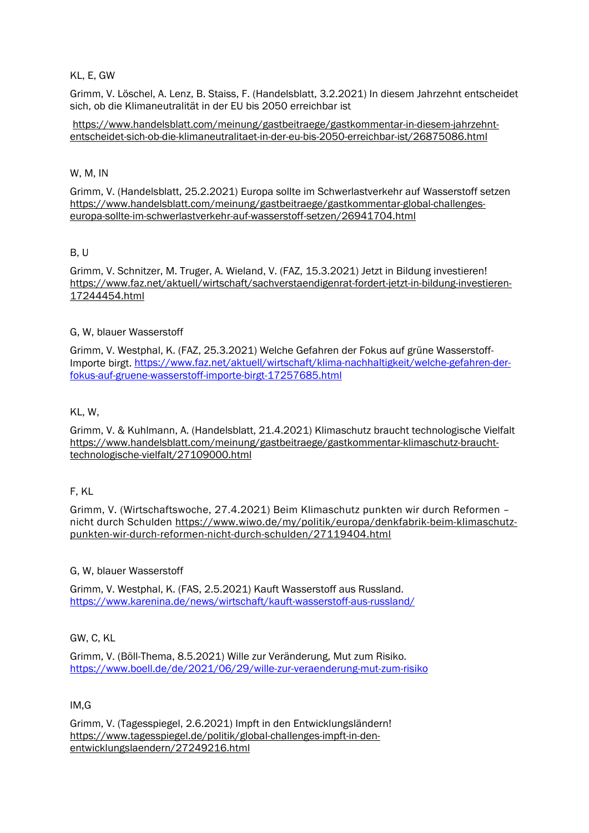### KL, E, GW

Grimm, V. Löschel, A. Lenz, B. Staiss, F. (Handelsblatt, 3.2.2021) In diesem Jahrzehnt entscheidet sich, ob die Klimaneutralität in der EU bis 2050 erreichbar ist

[https://www.handelsblatt.com/meinung/gastbeitraege/gastkommentar-in-diesem-jahrzehnt](https://www.handelsblatt.com/meinung/gastbeitraege/gastkommentar-in-diesem-jahrzehnt-entscheidet-sich-ob-die-klimaneutralitaet-in-der-eu-bis-2050-erreichbar-ist/26875086.html)[entscheidet-sich-ob-die-klimaneutralitaet-in-der-eu-bis-2050-erreichbar-ist/26875086.html](https://www.handelsblatt.com/meinung/gastbeitraege/gastkommentar-in-diesem-jahrzehnt-entscheidet-sich-ob-die-klimaneutralitaet-in-der-eu-bis-2050-erreichbar-ist/26875086.html)

#### W, M, IN

Grimm, V. (Handelsblatt, 25.2.2021) Europa sollte im Schwerlastverkehr auf Wasserstoff setzen [https://www.handelsblatt.com/meinung/gastbeitraege/gastkommentar-global-challenges](https://www.handelsblatt.com/meinung/gastbeitraege/gastkommentar-global-challenges-europa-sollte-im-schwerlastverkehr-auf-wasserstoff-setzen/26941704.html)[europa-sollte-im-schwerlastverkehr-auf-wasserstoff-setzen/26941704.html](https://www.handelsblatt.com/meinung/gastbeitraege/gastkommentar-global-challenges-europa-sollte-im-schwerlastverkehr-auf-wasserstoff-setzen/26941704.html)

#### B, U

Grimm, V. Schnitzer, M. Truger, A. Wieland, V. (FAZ, 15.3.2021) Jetzt in Bildung investieren! [https://www.faz.net/aktuell/wirtschaft/sachverstaendigenrat-fordert-jetzt-in-bildung-investieren-](https://www.faz.net/aktuell/wirtschaft/sachverstaendigenrat-fordert-jetzt-in-bildung-investieren-17244454.html)[17244454.html](https://www.faz.net/aktuell/wirtschaft/sachverstaendigenrat-fordert-jetzt-in-bildung-investieren-17244454.html)

#### G, W, blauer Wasserstoff

Grimm, V. Westphal, K. (FAZ, 25.3.2021) Welche Gefahren der Fokus auf grüne Wasserstoff-Importe birgt. [https://www.faz.net/aktuell/wirtschaft/klima-nachhaltigkeit/welche-gefahren-der](https://www.faz.net/aktuell/wirtschaft/klima-nachhaltigkeit/welche-gefahren-der-fokus-auf-gruene-wasserstoff-importe-birgt-17257685.html)[fokus-auf-gruene-wasserstoff-importe-birgt-17257685.html](https://www.faz.net/aktuell/wirtschaft/klima-nachhaltigkeit/welche-gefahren-der-fokus-auf-gruene-wasserstoff-importe-birgt-17257685.html)

### KL, W,

Grimm, V. & Kuhlmann, A. (Handelsblatt, 21.4.2021) Klimaschutz braucht technologische Vielfalt [https://www.handelsblatt.com/meinung/gastbeitraege/gastkommentar-klimaschutz-braucht](https://www.handelsblatt.com/meinung/gastbeitraege/gastkommentar-klimaschutz-braucht-technologische-vielfalt/27109000.html)[technologische-vielfalt/27109000.html](https://www.handelsblatt.com/meinung/gastbeitraege/gastkommentar-klimaschutz-braucht-technologische-vielfalt/27109000.html)

#### F, KL

Grimm, V. (Wirtschaftswoche, 27.4.2021) Beim Klimaschutz punkten wir durch Reformen – nicht durch Schulden [https://www.wiwo.de/my/politik/europa/denkfabrik-beim-klimaschutz](https://www.wiwo.de/my/politik/europa/denkfabrik-beim-klimaschutz-punkten-wir-durch-reformen-nicht-durch-schulden/27119404.html)[punkten-wir-durch-reformen-nicht-durch-schulden/27119404.html](https://www.wiwo.de/my/politik/europa/denkfabrik-beim-klimaschutz-punkten-wir-durch-reformen-nicht-durch-schulden/27119404.html)

#### G, W, blauer Wasserstoff

Grimm, V. Westphal, K. (FAS, 2.5.2021) Kauft Wasserstoff aus Russland. <https://www.karenina.de/news/wirtschaft/kauft-wasserstoff-aus-russland/>

### GW, C, KL

Grimm, V. (Böll-Thema, 8.5.2021) Wille zur Veränderung, Mut zum Risiko. <https://www.boell.de/de/2021/06/29/wille-zur-veraenderung-mut-zum-risiko>

#### IM,G

Grimm, V. (Tagesspiegel, 2.6.2021) Impft in den Entwicklungsländern! [https://www.tagesspiegel.de/politik/global-challenges-impft-in-den](https://www.tagesspiegel.de/politik/global-challenges-impft-in-den-entwicklungslaendern/27249216.html)[entwicklungslaendern/27249216.html](https://www.tagesspiegel.de/politik/global-challenges-impft-in-den-entwicklungslaendern/27249216.html)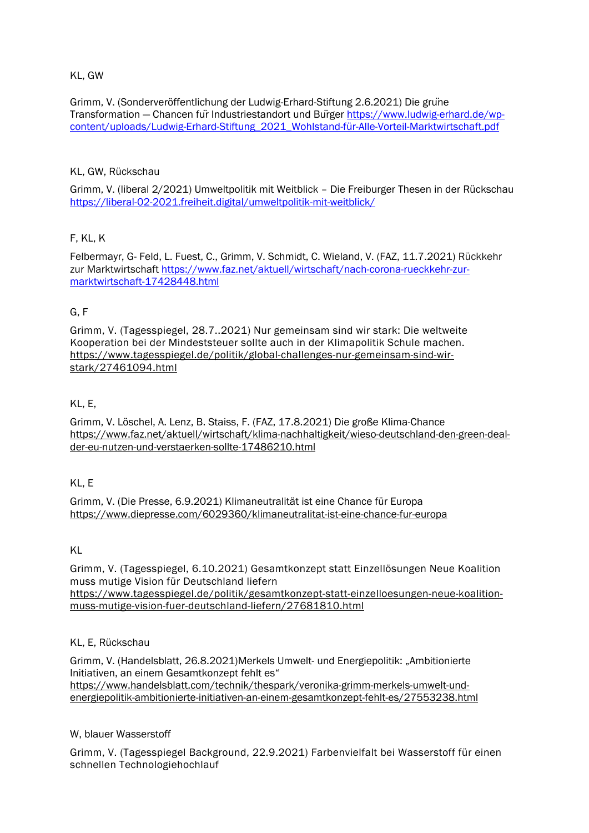### KL, GW

Grimm, V. (Sonderveröffentlichung der Ludwig-Erhard-Stiftung 2.6.2021) Die grüne Transformation — Chancen für Industriestandort und Bürger [https://www.ludwig-erhard.de/wp](https://www.ludwig-erhard.de/wp-content/uploads/Ludwig-Erhard-Stiftung_2021_Wohlstand-f%C3%BCr-Alle-Vorteil-Marktwirtschaft.pdf)[content/uploads/Ludwig-Erhard-Stiftung\\_2021\\_Wohlstand-für-Alle-Vorteil-Marktwirtschaft.pdf](https://www.ludwig-erhard.de/wp-content/uploads/Ludwig-Erhard-Stiftung_2021_Wohlstand-f%C3%BCr-Alle-Vorteil-Marktwirtschaft.pdf)

### KL, GW, Rückschau

Grimm, V. (liberal 2/2021) Umweltpolitik mit Weitblick – Die Freiburger Thesen in der Rückschau <https://liberal-02-2021.freiheit.digital/umweltpolitik-mit-weitblick/>

### F, KL, K

Felbermayr, G- Feld, L. Fuest, C., Grimm, V. Schmidt, C. Wieland, V. (FAZ, 11.7.2021) Rückkehr zur Marktwirtschaft [https://www.faz.net/aktuell/wirtschaft/nach-corona-rueckkehr-zur](https://www.faz.net/aktuell/wirtschaft/nach-corona-rueckkehr-zur-marktwirtschaft-17428448.html)[marktwirtschaft-17428448.html](https://www.faz.net/aktuell/wirtschaft/nach-corona-rueckkehr-zur-marktwirtschaft-17428448.html)

### G, F

Grimm, V. (Tagesspiegel, 28.7..2021) Nur gemeinsam sind wir stark: Die weltweite Kooperation bei der Mindeststeuer sollte auch in der Klimapolitik Schule machen. [https://www.tagesspiegel.de/politik/global-challenges-nur-gemeinsam-sind-wir](https://www.tagesspiegel.de/politik/global-challenges-nur-gemeinsam-sind-wir-stark/27461094.html)[stark/27461094.html](https://www.tagesspiegel.de/politik/global-challenges-nur-gemeinsam-sind-wir-stark/27461094.html)

### KL, E,

Grimm, V. Löschel, A. Lenz, B. Staiss, F. (FAZ, 17.8.2021) Die große Klima-Chance [https://www.faz.net/aktuell/wirtschaft/klima-nachhaltigkeit/wieso-deutschland-den-green-deal](https://www.faz.net/aktuell/wirtschaft/klima-nachhaltigkeit/wieso-deutschland-den-green-deal-der-eu-nutzen-und-verstaerken-sollte-17486210.html)[der-eu-nutzen-und-verstaerken-sollte-17486210.html](https://www.faz.net/aktuell/wirtschaft/klima-nachhaltigkeit/wieso-deutschland-den-green-deal-der-eu-nutzen-und-verstaerken-sollte-17486210.html)

### KL, E

Grimm, V. (Die Presse, 6.9.2021) Klimaneutralität ist eine Chance für Europa <https://www.diepresse.com/6029360/klimaneutralitat-ist-eine-chance-fur-europa>

### KL

Grimm, V. (Tagesspiegel, 6.10.2021) Gesamtkonzept statt Einzellösungen Neue Koalition muss mutige Vision für Deutschland liefern [https://www.tagesspiegel.de/politik/gesamtkonzept-statt-einzelloesungen-neue-koalition](https://www.tagesspiegel.de/politik/gesamtkonzept-statt-einzelloesungen-neue-koalition-muss-mutige-vision-fuer-deutschland-liefern/27681810.html)[muss-mutige-vision-fuer-deutschland-liefern/27681810.html](https://www.tagesspiegel.de/politik/gesamtkonzept-statt-einzelloesungen-neue-koalition-muss-mutige-vision-fuer-deutschland-liefern/27681810.html)

### KL, E, Rückschau

Grimm, V. (Handelsblatt, 26.8.2021)Merkels Umwelt- und Energiepolitik: "Ambitionierte Initiativen, an einem Gesamtkonzept fehlt es" [https://www.handelsblatt.com/technik/thespark/veronika-grimm-merkels-umwelt-und](https://www.handelsblatt.com/technik/thespark/veronika-grimm-merkels-umwelt-und-energiepolitik-ambitionierte-initiativen-an-einem-gesamtkonzept-fehlt-es/27553238.html)[energiepolitik-ambitionierte-initiativen-an-einem-gesamtkonzept-fehlt-es/27553238.html](https://www.handelsblatt.com/technik/thespark/veronika-grimm-merkels-umwelt-und-energiepolitik-ambitionierte-initiativen-an-einem-gesamtkonzept-fehlt-es/27553238.html)

### W, blauer Wasserstoff

Grimm, V. (Tagesspiegel Background, 22.9.2021) Farbenvielfalt bei Wasserstoff für einen schnellen Technologiehochlauf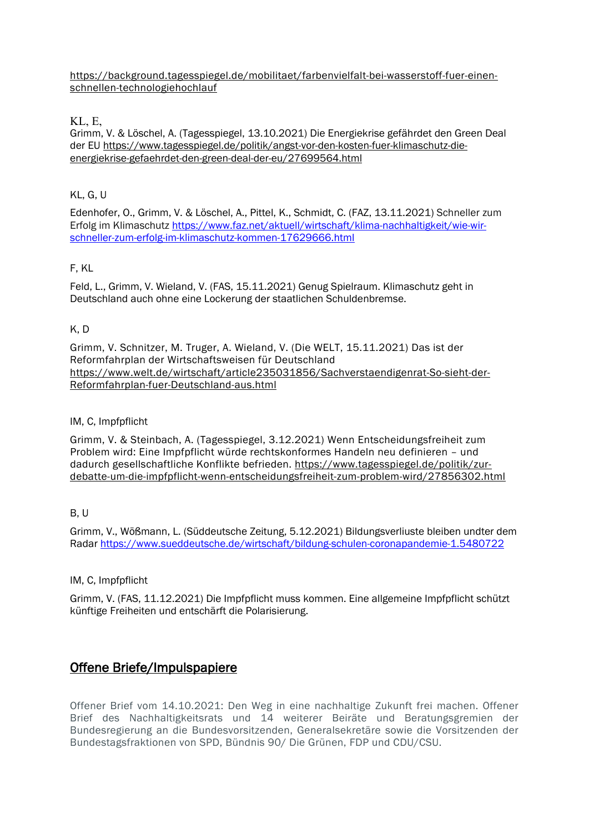[https://background.tagesspiegel.de/mobilitaet/farbenvielfalt-bei-wasserstoff-fuer-einen](https://background.tagesspiegel.de/mobilitaet/farbenvielfalt-bei-wasserstoff-fuer-einen-schnellen-technologiehochlauf)[schnellen-technologiehochlauf](https://background.tagesspiegel.de/mobilitaet/farbenvielfalt-bei-wasserstoff-fuer-einen-schnellen-technologiehochlauf)

### KL, E,

Grimm, V. & Löschel, A. (Tagesspiegel, 13.10.2021) Die Energiekrise gefährdet den Green Deal der EU [https://www.tagesspiegel.de/politik/angst-vor-den-kosten-fuer-klimaschutz-die](https://www.tagesspiegel.de/politik/angst-vor-den-kosten-fuer-klimaschutz-die-energiekrise-gefaehrdet-den-green-deal-der-eu/27699564.html)[energiekrise-gefaehrdet-den-green-deal-der-eu/27699564.html](https://www.tagesspiegel.de/politik/angst-vor-den-kosten-fuer-klimaschutz-die-energiekrise-gefaehrdet-den-green-deal-der-eu/27699564.html)

### KL, G, U

Edenhofer, O., Grimm, V. & Löschel, A., Pittel, K., Schmidt, C. (FAZ, 13.11.2021) Schneller zum Erfolg im Klimaschutz [https://www.faz.net/aktuell/wirtschaft/klima-nachhaltigkeit/wie-wir](https://www.faz.net/aktuell/wirtschaft/klima-nachhaltigkeit/wie-wir-schneller-zum-erfolg-im-klimaschutz-kommen-17629666.html)[schneller-zum-erfolg-im-klimaschutz-kommen-17629666.html](https://www.faz.net/aktuell/wirtschaft/klima-nachhaltigkeit/wie-wir-schneller-zum-erfolg-im-klimaschutz-kommen-17629666.html)

### F, KL

Feld, L., Grimm, V. Wieland, V. (FAS, 15.11.2021) Genug Spielraum. Klimaschutz geht in Deutschland auch ohne eine Lockerung der staatlichen Schuldenbremse.

### K, D

Grimm, V. Schnitzer, M. Truger, A. Wieland, V. (Die WELT, 15.11.2021) Das ist der Reformfahrplan der Wirtschaftsweisen für Deutschland [https://www.welt.de/wirtschaft/article235031856/Sachverstaendigenrat-So-sieht-der-](https://www.welt.de/wirtschaft/article235031856/Sachverstaendigenrat-So-sieht-der-Reformfahrplan-fuer-Deutschland-aus.html)[Reformfahrplan-fuer-Deutschland-aus.html](https://www.welt.de/wirtschaft/article235031856/Sachverstaendigenrat-So-sieht-der-Reformfahrplan-fuer-Deutschland-aus.html)

### IM, C, Impfpflicht

Grimm, V. & Steinbach, A. (Tagesspiegel, 3.12.2021) Wenn Entscheidungsfreiheit zum Problem wird: Eine Impfpflicht würde rechtskonformes Handeln neu definieren – und dadurch gesellschaftliche Konflikte befrieden. [https://www.tagesspiegel.de/politik/zur](https://www.tagesspiegel.de/politik/zur-debatte-um-die-impfpflicht-wenn-entscheidungsfreiheit-zum-problem-wird/27856302.html)[debatte-um-die-impfpflicht-wenn-entscheidungsfreiheit-zum-problem-wird/27856302.html](https://www.tagesspiegel.de/politik/zur-debatte-um-die-impfpflicht-wenn-entscheidungsfreiheit-zum-problem-wird/27856302.html)

### B, U

Grimm, V., Wößmann, L. (Süddeutsche Zeitung, 5.12.2021) Bildungsverliuste bleiben undter dem Radar<https://www.sueddeutsche.de/wirtschaft/bildung-schulen-coronapandemie-1.5480722>

### IM, C. Impfpflicht

Grimm, V. (FAS, 11.12.2021) Die Impfpflicht muss kommen. Eine allgemeine Impfpflicht schützt künftige Freiheiten und entschärft die Polarisierung.

# Offene Briefe/Impulspapiere

Offener Brief vom 14.10.2021: Den Weg in eine nachhaltige Zukunft frei machen. Offener Brief des Nachhaltigkeitsrats und 14 weiterer Beiräte und Beratungsgremien der Bundesregierung an die Bundesvorsitzenden, Generalsekretäre sowie die Vorsitzenden der Bundestagsfraktionen von SPD, Bündnis 90/ Die Grünen, FDP und CDU/CSU.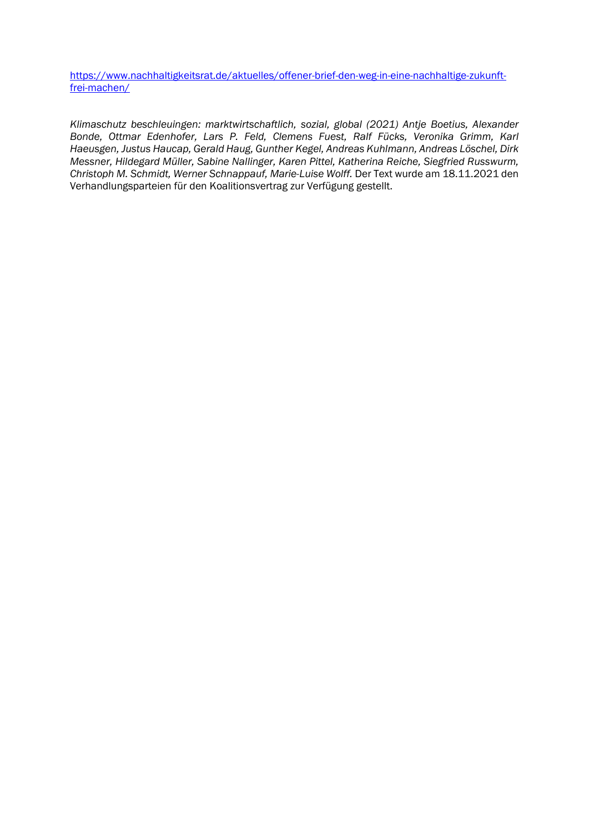[https://www.nachhaltigkeitsrat.de/aktuelles/offener-brief-den-weg-in-eine-nachhaltige-zukunft](https://www.nachhaltigkeitsrat.de/aktuelles/offener-brief-den-weg-in-eine-nachhaltige-zukunft-frei-machen/)[frei-machen/](https://www.nachhaltigkeitsrat.de/aktuelles/offener-brief-den-weg-in-eine-nachhaltige-zukunft-frei-machen/)

*Klimaschutz beschleuingen: marktwirtschaftlich, sozial, global (2021) Antje Boetius, Alexander Bonde, Ottmar Edenhofer, Lars P. Feld, Clemens Fuest, Ralf Fücks, Veronika Grimm, Karl Haeusgen, Justus Haucap, Gerald Haug, Gunther Kegel, Andreas Kuhlmann, Andreas Löschel, Dirk Messner, Hildegard Müller, Sabine Nallinger, Karen Pittel, Katherina Reiche, Siegfried Russwurm, Christoph M. Schmidt, Werner Schnappauf, Marie-Luise Wolff.* Der Text wurde am 18.11.2021 den Verhandlungsparteien für den Koalitionsvertrag zur Verfügung gestellt.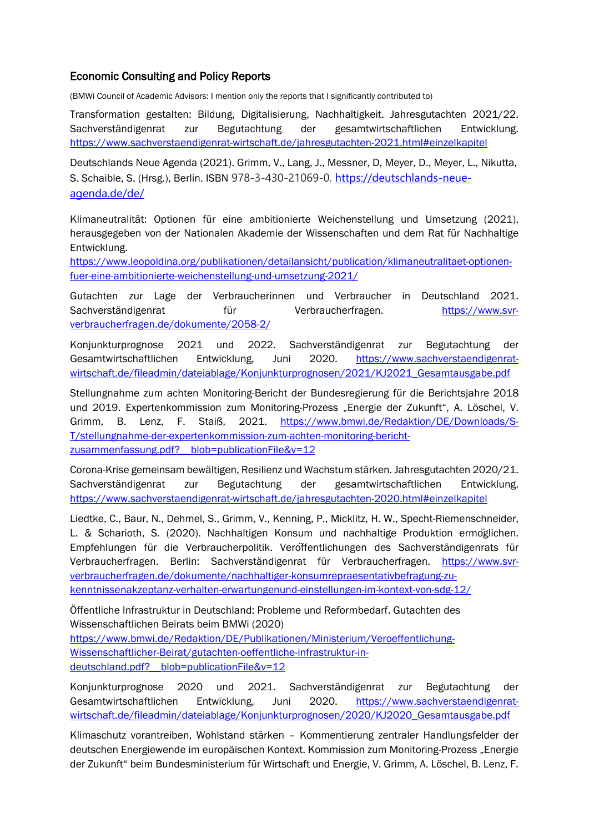### Economic Consulting and Policy Reports

(BMWi Council of Academic Advisors: I mention only the reports that I significantly contributed to)

Transformation gestalten: Bildung, Digitalisierung, Nachhaltigkeit. Jahresgutachten 2021/22. Sachverständigenrat zur Begutachtung der gesamtwirtschaftlichen Entwicklung. <https://www.sachverstaendigenrat-wirtschaft.de/jahresgutachten-2021.html#einzelkapitel>

Deutschlands Neue Agenda (2021). Grimm, V., Lang, J., Messner, D, Meyer, D., Meyer, L., Nikutta, S. Schaible, S. (Hrsg.), Berlin. ISBN 978-3-430-21069-0. [https://deutschlands-neue](https://deutschlands-neue-agenda.de/de/)[agenda.de/de/](https://deutschlands-neue-agenda.de/de/)

Klimaneutralität: Optionen für eine ambitionierte Weichenstellung und Umsetzung (2021), herausgegeben von der Nationalen Akademie der Wissenschaften und dem Rat für Nachhaltige Entwicklung.

[https://www.leopoldina.org/publikationen/detailansicht/publication/klimaneutralitaet-optionen](https://www.leopoldina.org/publikationen/detailansicht/publication/klimaneutralitaet-optionen-fuer-eine-ambitionierte-weichenstellung-und-umsetzung-2021/)[fuer-eine-ambitionierte-weichenstellung-und-umsetzung-2021/](https://www.leopoldina.org/publikationen/detailansicht/publication/klimaneutralitaet-optionen-fuer-eine-ambitionierte-weichenstellung-und-umsetzung-2021/)

Gutachten zur Lage der Verbraucherinnen und Verbraucher in Deutschland 2021. Sachverständigenrat für Verbraucherfragen. [https://www.svr](https://www.svr-verbraucherfragen.de/dokumente/2058-2/)[verbraucherfragen.de/dokumente/2058-2/](https://www.svr-verbraucherfragen.de/dokumente/2058-2/)

Konjunkturprognose 2021 und 2022. Sachverständigenrat zur Begutachtung der Gesamtwirtschaftlichen Entwicklung, Juni 2020. [https://www.sachverstaendigenrat](https://www.sachverstaendigenrat-wirtschaft.de/fileadmin/dateiablage/Konjunkturprognosen/2021/KJ2021_Gesamtausgabe.pdf)[wirtschaft.de/fileadmin/dateiablage/Konjunkturprognosen/2021/KJ2021\\_Gesamtausgabe.pdf](https://www.sachverstaendigenrat-wirtschaft.de/fileadmin/dateiablage/Konjunkturprognosen/2021/KJ2021_Gesamtausgabe.pdf)

Stellungnahme zum achten Monitoring-Bericht der Bundesregierung für die Berichtsjahre 2018 und 2019. Expertenkommission zum Monitoring-Prozess "Energie der Zukunft", A. Löschel, V. Grimm, B. Lenz, F. Staiß, 2021. [https://www.bmwi.de/Redaktion/DE/Downloads/S-](https://www.bmwi.de/Redaktion/DE/Downloads/S-T/stellungnahme-der-expertenkommission-zum-achten-monitoring-bericht-zusammenfassung.pdf?__blob=publicationFile&v=12)[T/stellungnahme-der-expertenkommission-zum-achten-monitoring-bericht](https://www.bmwi.de/Redaktion/DE/Downloads/S-T/stellungnahme-der-expertenkommission-zum-achten-monitoring-bericht-zusammenfassung.pdf?__blob=publicationFile&v=12)zusammenfassung.pdf? blob=publicationFile&v=12

Corona-Krise gemeinsam bewältigen, Resilienz und Wachstum stärken. Jahresgutachten 2020/21. Sachverständigenrat zur Begutachtung der gesamtwirtschaftlichen Entwicklung. <https://www.sachverstaendigenrat-wirtschaft.de/jahresgutachten-2020.html#einzelkapitel>

Liedtke, C., Baur, N., Dehmel, S., Grimm, V., Kenning, P., Micklitz, H. W., Specht-Riemenschneider, L. & Scharioth, S. (2020). Nachhaltigen Konsum und nachhaltige Produktion ermöglichen. Empfehlungen für die Verbraucherpolitik. Veröffentlichungen des Sachverständigenrats für Verbraucherfragen. Berlin: Sachverständigenrat für Verbraucherfragen. [https://www.svr](https://www.svr-verbraucherfragen.de/dokumente/nachhaltiger-konsumrepraesentativbefragung-zu-kenntnissenakzeptanz-verhalten-erwartungenund-einstellungen-im-kontext-von-sdg-12/)[verbraucherfragen.de/dokumente/nachhaltiger-konsumrepraesentativbefragung-zu](https://www.svr-verbraucherfragen.de/dokumente/nachhaltiger-konsumrepraesentativbefragung-zu-kenntnissenakzeptanz-verhalten-erwartungenund-einstellungen-im-kontext-von-sdg-12/)[kenntnissenakzeptanz-verhalten-erwartungenund-einstellungen-im-kontext-von-sdg-12/](https://www.svr-verbraucherfragen.de/dokumente/nachhaltiger-konsumrepraesentativbefragung-zu-kenntnissenakzeptanz-verhalten-erwartungenund-einstellungen-im-kontext-von-sdg-12/)

Öffentliche Infrastruktur in Deutschland: Probleme und Reformbedarf. Gutachten des Wissenschaftlichen Beirats beim BMWi (2020)

[https://www.bmwi.de/Redaktion/DE/Publikationen/Ministerium/Veroeffentlichung-](https://www.bmwi.de/Redaktion/DE/Publikationen/Ministerium/Veroeffentlichung-Wissenschaftlicher-Beirat/gutachten-oeffentliche-infrastruktur-in-deutschland.pdf?__blob=publicationFile&v=12)[Wissenschaftlicher-Beirat/gutachten-oeffentliche-infrastruktur-in](https://www.bmwi.de/Redaktion/DE/Publikationen/Ministerium/Veroeffentlichung-Wissenschaftlicher-Beirat/gutachten-oeffentliche-infrastruktur-in-deutschland.pdf?__blob=publicationFile&v=12)deutschland.pdf? blob=publicationFile&v=12

Konjunkturprognose 2020 und 2021. Sachverständigenrat zur Begutachtung der Gesamtwirtschaftlichen Entwicklung, Juni 2020. [https://www.sachverstaendigenrat](https://www.sachverstaendigenrat-wirtschaft.de/fileadmin/dateiablage/Konjunkturprognosen/2020/KJ2020_Gesamtausgabe.pdf)[wirtschaft.de/fileadmin/dateiablage/Konjunkturprognosen/2020/KJ2020\\_Gesamtausgabe.pdf](https://www.sachverstaendigenrat-wirtschaft.de/fileadmin/dateiablage/Konjunkturprognosen/2020/KJ2020_Gesamtausgabe.pdf)

Klimaschutz vorantreiben, Wohlstand stärken – Kommentierung zentraler Handlungsfelder der deutschen Energiewende im europäischen Kontext. Kommission zum Monitoring-Prozess "Energie der Zukunft" beim Bundesministerium für Wirtschaft und Energie, V. Grimm, A. Löschel, B. Lenz, F.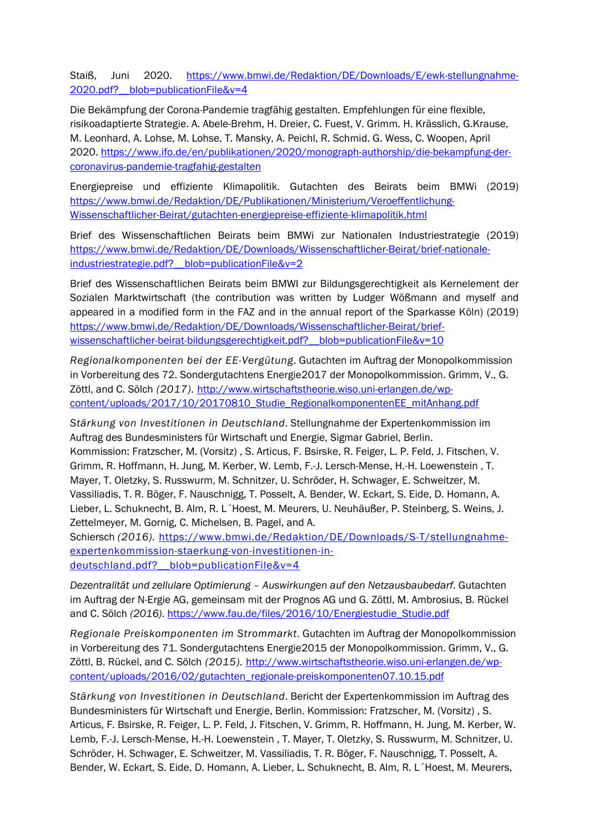Staiß, Juni 2020. [https://www.bmwi.de/Redaktion/DE/Downloads/E/ewk-stellungnahme-](https://www.bmwi.de/Redaktion/DE/Downloads/E/ewk-stellungnahme-2020.pdf?__blob=publicationFile&v=4)2020.pdf? blob=publicationFile&v=4

Die Bekämpfung der Corona-Pandemie tragfähig gestalten. Empfehlungen für eine flexible, risikoadaptierte Strategie. A. Abele-Brehm, H. Dreier, C. Fuest, V. Grimm. H. Krässlich, G.Krause, M. Leonhard, A. Lohse, M. Lohse, T. Mansky, A. Peichl, R. Schmid. G. Wess, C. Woopen, April 2020. [https://www.ifo.de/en/publikationen/2020/monograph-authorship/die-bekampfung-der](https://www.ifo.de/en/publikationen/2020/monograph-authorship/die-bekampfung-der-coronavirus-pandemie-tragfahig-gestalten)[coronavirus-pandemie-tragfahig-gestalten](https://www.ifo.de/en/publikationen/2020/monograph-authorship/die-bekampfung-der-coronavirus-pandemie-tragfahig-gestalten)

Energiepreise und effiziente Klimapolitik. Gutachten des Beirats beim BMWi (2019) [https://www.bmwi.de/Redaktion/DE/Publikationen/Ministerium/Veroeffentlichung-](https://www.bmwi.de/Redaktion/DE/Publikationen/Ministerium/Veroeffentlichung-Wissenschaftlicher-Beirat/gutachten-energiepreise-effiziente-klimapolitik.html)[Wissenschaftlicher-Beirat/gutachten-energiepreise-effiziente-klimapolitik.html](https://www.bmwi.de/Redaktion/DE/Publikationen/Ministerium/Veroeffentlichung-Wissenschaftlicher-Beirat/gutachten-energiepreise-effiziente-klimapolitik.html)

Brief des Wissenschaftlichen Beirats beim BMWi zur Nationalen Industriestrategie (2019) [https://www.bmwi.de/Redaktion/DE/Downloads/Wissenschaftlicher-Beirat/brief-nationale](https://www.bmwi.de/Redaktion/DE/Downloads/Wissenschaftlicher-Beirat/brief-nationale-industriestrategie.pdf?__blob=publicationFile&v=2)industriestrategie.pdf? blob=publicationFile&v=2

Brief des Wissenschaftlichen Beirats beim BMWI zur Bildungsgerechtigkeit als Kernelement der Sozialen Marktwirtschaft (the contribution was written by Ludger Wößmann and myself and appeared in a modified form in the FAZ and in the annual report of the Sparkasse Köln) (2019) [https://www.bmwi.de/Redaktion/DE/Downloads/Wissenschaftlicher-Beirat/brief](https://www.bmwi.de/Redaktion/DE/Downloads/Wissenschaftlicher-Beirat/brief-wissenschaftlicher-beirat-bildungsgerechtigkeit.pdf?__blob=publicationFile&v=10)wissenschaftlicher-beirat-bildungsgerechtigkeit.pdf? blob=publicationFile&v=10

*Regionalkomponenten bei der EE-Vergütung*. Gutachten im Auftrag der Monopolkommission in Vorbereitung des 72. Sondergutachtens Energie2017 der Monopolkommission. Grimm, V., G. Zöttl, and C. Sölch *(2017).* [http://www.wirtschaftstheorie.wiso.uni-erlangen.de/wp](http://www.wirtschaftstheorie.wiso.uni-erlangen.de/wp-content/uploads/2017/10/20170810_Studie_RegionalkomponentenEE_mitAnhang.pdf)[content/uploads/2017/10/20170810\\_Studie\\_RegionalkomponentenEE\\_mitAnhang.pdf](http://www.wirtschaftstheorie.wiso.uni-erlangen.de/wp-content/uploads/2017/10/20170810_Studie_RegionalkomponentenEE_mitAnhang.pdf)

*Stärkung von Investitionen in Deutschland*. Stellungnahme der Expertenkommission im Auftrag des Bundesministers für Wirtschaft und Energie, Sigmar Gabriel, Berlin. Kommission: Fratzscher, M. (Vorsitz) , S. Articus, F. Bsirske, R. Feiger, L. P. Feld, J. Fitschen, V. Grimm, R. Hoffmann, H. Jung, M. Kerber, W. Lemb, F.-J. Lersch-Mense, H.-H. Loewenstein , T. Mayer, T. Oletzky, S. Russwurm, M. Schnitzer, U. Schröder, H. Schwager, E. Schweitzer, M. Vassiliadis, T. R. Böger, F. Nauschnigg, T. Posselt, A. Bender, W. Eckart, S. Eide, D. Homann, A. Lieber, L. Schuknecht, B. Alm, R. L´Hoest, M. Meurers, U. Neuhäußer, P. Steinberg, S. Weins, J. Zettelmeyer, M. Gornig, C. Michelsen, B. Pagel, and A.

Schiersch (2016). [https://www.bmwi.de/Redaktion/DE/Downloads/S-T/stellungnahme](https://www.bmwi.de/Redaktion/DE/Downloads/S-T/stellungnahme-expertenkommission-staerkung-von-investitionen-in-deutschland.pdf?__blob=publicationFile&v=4)[expertenkommission-staerkung-von-investitionen-in](https://www.bmwi.de/Redaktion/DE/Downloads/S-T/stellungnahme-expertenkommission-staerkung-von-investitionen-in-deutschland.pdf?__blob=publicationFile&v=4)deutschland.pdf? blob=publicationFile&v=4

*Dezentralität und zellulare Optimierung – Auswirkungen auf den Netzausbaubedarf*. Gutachten im Auftrag der N-Ergie AG, gemeinsam mit der Prognos AG und G. Zöttl, M. Ambrosius, B. Rückel and C. Sölch (2016). [https://www.fau.de/files/2016/10/Energiestudie\\_Studie.pdf](https://www.fau.de/files/2016/10/Energiestudie_Studie.pdf)

*Regionale Preiskomponenten im Strommarkt*. Gutachten im Auftrag der Monopolkommission in Vorbereitung des 71. Sondergutachtens Energie2015 der Monopolkommission. Grimm, V., G. Zöttl, B. Rückel, and C. Sölch *(2015).* [http://www.wirtschaftstheorie.wiso.uni-erlangen.de/wp](http://www.wirtschaftstheorie.wiso.uni-erlangen.de/wp-content/uploads/2016/02/gutachten_regionale-preiskomponenten07.10.15.pdf)[content/uploads/2016/02/gutachten\\_regionale-preiskomponenten07.10.15.pdf](http://www.wirtschaftstheorie.wiso.uni-erlangen.de/wp-content/uploads/2016/02/gutachten_regionale-preiskomponenten07.10.15.pdf)

*Stärkung von Investitionen in Deutschland*. Bericht der Expertenkommission im Auftrag des Bundesministers für Wirtschaft und Energie, Berlin. Kommission: Fratzscher, M. (Vorsitz) , S. Articus, F. Bsirske, R. Feiger, L. P. Feld, J. Fitschen, V. Grimm, R. Hoffmann, H. Jung, M. Kerber, W. Lemb, F.-J. Lersch-Mense, H.-H. Loewenstein , T. Mayer, T. Oletzky, S. Russwurm, M. Schnitzer, U. Schröder, H. Schwager, E. Schweitzer, M. Vassiliadis, T. R. Böger, F. Nauschnigg, T. Posselt, A. Bender, W. Eckart, S. Eide, D. Homann, A. Lieber, L. Schuknecht, B. Alm, R. L´Hoest, M. Meurers,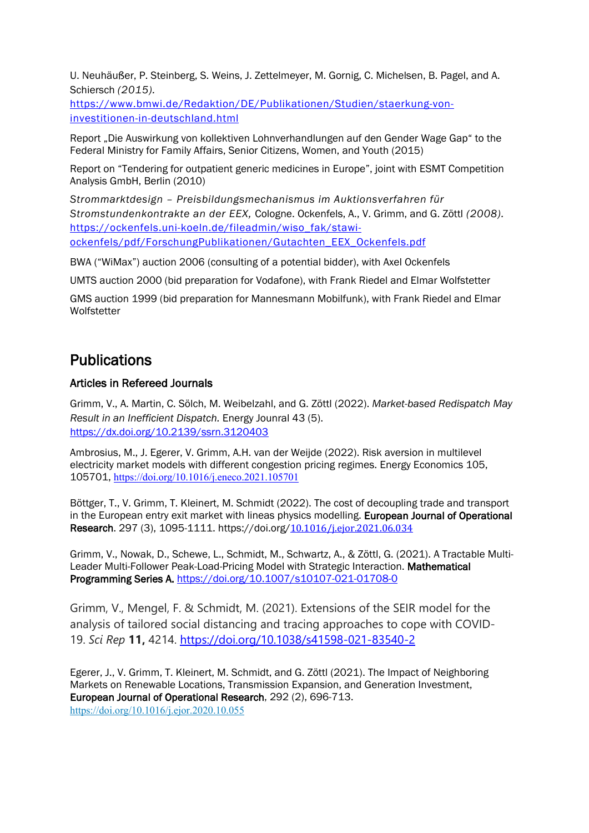U. Neuhäußer, P. Steinberg, S. Weins, J. Zettelmeyer, M. Gornig, C. Michelsen, B. Pagel, and A. Schiersch *(2015).*

[https://www.bmwi.de/Redaktion/DE/Publikationen/Studien/staerkung-von](https://www.bmwi.de/Redaktion/DE/Publikationen/Studien/staerkung-von-investitionen-in-deutschland.html)[investitionen-in-deutschland.html](https://www.bmwi.de/Redaktion/DE/Publikationen/Studien/staerkung-von-investitionen-in-deutschland.html)

Report "Die Auswirkung von kollektiven Lohnverhandlungen auf den Gender Wage Gap" to the Federal Ministry for Family Affairs, Senior Citizens, Women, and Youth (2015)

Report on "Tendering for outpatient generic medicines in Europe", joint with ESMT Competition Analysis GmbH, Berlin (2010)

*Strommarktdesign – Preisbildungsmechanismus im Auktionsverfahren für Stromstundenkontrakte an der EEX,* Cologne. Ockenfels, A., V. Grimm, and G. Zöttl *(2008).* [https://ockenfels.uni-koeln.de/fileadmin/wiso\\_fak/stawi](https://ockenfels.uni-koeln.de/fileadmin/wiso_fak/stawi-ockenfels/pdf/ForschungPublikationen/Gutachten_EEX_Ockenfels.pdf)[ockenfels/pdf/ForschungPublikationen/Gutachten\\_EEX\\_Ockenfels.pdf](https://ockenfels.uni-koeln.de/fileadmin/wiso_fak/stawi-ockenfels/pdf/ForschungPublikationen/Gutachten_EEX_Ockenfels.pdf)

BWA ("WiMax") auction 2006 (consulting of a potential bidder), with Axel Ockenfels

UMTS auction 2000 (bid preparation for Vodafone), with Frank Riedel and Elmar Wolfstetter

GMS auction 1999 (bid preparation for Mannesmann Mobilfunk), with Frank Riedel and Elmar **Wolfstetter** 

# **Publications**

### Articles in Refereed Journals

Grimm, V., A. Martin, C. Sölch, M. Weibelzahl, and G. Zöttl (2022). *Market-based Redispatch May Result in an Inefficient Dispatch.* Energy Jounral 43 (5). <https://dx.doi.org/10.2139/ssrn.3120403>

Ambrosius, M., J. Egerer, V. Grimm, A.H. van der Weijde (2022). Risk aversion in multilevel electricity market models with different congestion pricing regimes. Energy Economics 105, 105701, <https://doi.org/10.1016/j.eneco.2021.105701>

Böttger, T., V. Grimm, T. Kleinert, M. Schmidt (2022). The cost of decoupling trade and transport in the European entry exit market with lineas physics modelling. European Journal of Operational Research. 297 (3), 1095-1111. https://doi.org/[10.1016/j.ejor.2021.06.034](http://dx.doi.org/10.1016/j.ejor.2021.06.034)

Grimm, V., Nowak, D., Schewe, L., Schmidt, M., Schwartz, A., & Zöttl, G. (2021). A Tractable Multi-Leader Multi-Follower Peak-Load-Pricing Model with Strategic Interaction. Mathematical Programming Series A. <https://doi.org/10.1007/s10107-021-01708-0>

Grimm, V., Mengel, F. & Schmidt, M. (2021). Extensions of the SEIR model for the analysis of tailored social distancing and tracing approaches to cope with COVID-19. *Sci Rep* **11,** 4214.<https://doi.org/10.1038/s41598-021-83540-2>

Egerer, J., V. Grimm, T. Kleinert, M. Schmidt, and G. Zöttl (2021). The Impact of Neighboring Markets on Renewable Locations, Transmission Expansion, and Generation Investment, European Journal of Operational Research, 292 (2), 696-713. <https://doi.org/10.1016/j.ejor.2020.10.055>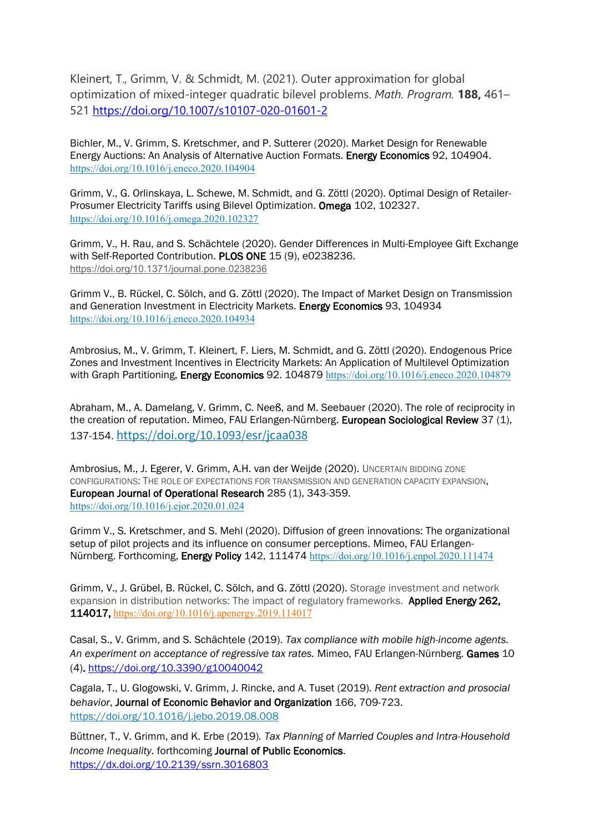Kleinert, T., Grimm, V. & Schmidt, M. (2021). Outer approximation for global optimization of mixed-integer quadratic bilevel problems. *Math. Program.* **188,** 461– 521<https://doi.org/10.1007/s10107-020-01601-2>

Bichler, M., V. Grimm, S. Kretschmer, and P. Sutterer (2020). Market Design for Renewable Energy Auctions: An Analysis of Alternative Auction Formats. Energy Economics 92, 104904. <https://doi.org/10.1016/j.eneco.2020.104904>

Grimm, V., G. Orlinskaya, L. Schewe, M. Schmidt, and G. Zöttl (2020). Optimal Design of Retailer-Prosumer Electricity Tariffs using Bilevel Optimization. Omega 102, 102327. <https://doi.org/10.1016/j.omega.2020.102327>

Grimm, V., H. Rau, and S. Schächtele (2020). Gender Differences in Multi-Employee Gift Exchange with Self-Reported Contribution. PLOS ONE 15 (9), e0238236. <https://doi.org/10.1371/journal.pone.0238236>

Grimm V., B. Rückel, C. Sölch, and G. Zöttl (2020). The Impact of Market Design on Transmission and Generation Investment in Electricity Markets. Energy Economics 93, 104934 <https://doi.org/10.1016/j.eneco.2020.104934>

Ambrosius, M., V. Grimm, T. Kleinert, F. Liers, M. Schmidt, and G. Zöttl (2020). Endogenous Price Zones and Investment Incentives in Electricity Markets: An Application of Multilevel Optimization with Graph Partitioning, Energy Economics 92. 104879 <https://doi.org/10.1016/j.eneco.2020.104879>

Abraham, M., A. Damelang, V. Grimm, C. Neeß, and M. Seebauer (2020). The role of reciprocity in the creation of reputation. Mimeo, FAU Erlangen-Nürnberg. European Sociological Review 37 (1), 137-154. <https://doi.org/10.1093/esr/jcaa038>

Ambrosius, M., J. Egerer, V. Grimm, A.H. van der Weijde (2020). UNCERTAIN BIDDING ZONE CONFIGURATIONS: THE ROLE OF EXPECTATIONS FOR TRANSMISSION AND GENERATION CAPACITY EXPANSION, European Journal of Operational Research 285 (1), 343-359. <https://doi.org/10.1016/j.ejor.2020.01.024>

Grimm V., S. Kretschmer, and S. Mehl (2020). Diffusion of green innovations: The organizational setup of pilot projects and its influence on consumer perceptions. Mimeo, FAU ErlangenNürnberg. Forthcoming, Energy Policy 142, 111474 <https://doi.org/10.1016/j.enpol.2020.111474>

Grimm, V., J. Grübel, B. Rückel, C. Sölch, and G. Zöttl (2020). Storage investment and network expansion in distribution networks: The impact of regulatory frameworks. Applied Energy 262, 114017, <https://doi.org/10.1016/j.apenergy.2019.114017>

Casal, S., V. Grimm, and S. Schächtele (2019). *Tax compliance with mobile high-income agents. An experiment on acceptance of regressive tax rates.* Mimeo, FAU Erlangen-Nürnberg. Games 10 (4).<https://doi.org/10.3390/g10040042>

Cagala, T., U. Glogowski, V. Grimm, J. Rincke, and A. Tuset (2019)*. Rent extraction and prosocial behavior*, Journal of Economic Behavior and Organization 166, 709-723. <https://doi.org/10.1016/j.jebo.2019.08.008>

Büttner, T., V. Grimm, and K. Erbe (2019)*. Tax Planning of Married Couples and Intra-Household Income Inequality.* forthcoming Journal of Public Economics. <https://dx.doi.org/10.2139/ssrn.3016803>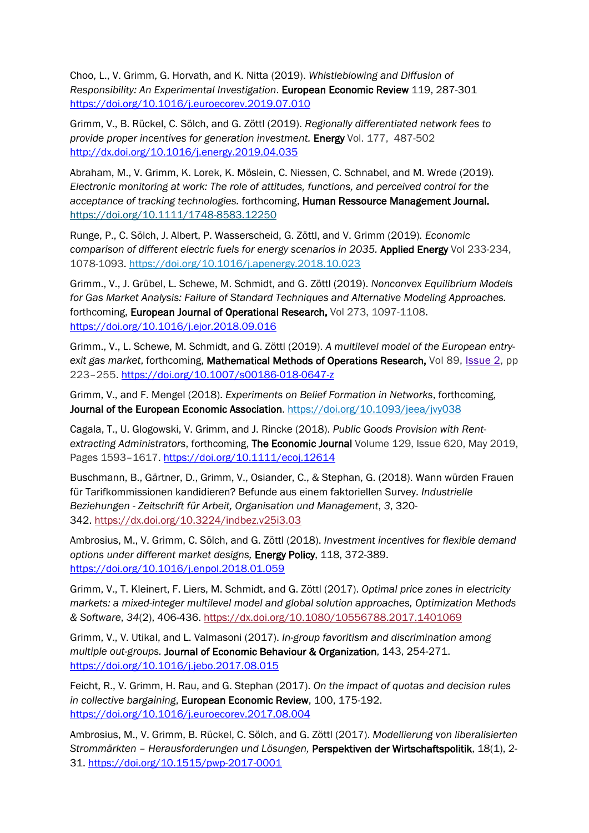Choo, L., V. Grimm, G. Horvath, and K. Nitta (2019). *Whistleblowing and Diffusion of Responsibility: An Experimental Investigation*. European Economic Review 119, 287-301 <https://doi.org/10.1016/j.euroecorev.2019.07.010>

Grimm, V., B. Rückel, C. Sölch, and G. Zöttl (2019). *Regionally differentiated network fees to provide proper incentives for generation investment.* Energy Vol. 177, 487-502 <http://dx.doi.org/10.1016/j.energy.2019.04.035>

Abraham, M., V. Grimm, K. Lorek, K. Möslein, C. Niessen, C. Schnabel, and M. Wrede (2019)*. Electronic monitoring at work: The role of attitudes, functions, and perceived control for the acceptance of tracking technologies.* forthcoming, Human Ressource Management Journal. <https://doi.org/10.1111/1748-8583.12250>

Runge, P., C. Sölch, J. Albert, P. Wasserscheid, G. Zöttl, and V. Grimm (2019)*. Economic comparison of different electric fuels for energy scenarios in 2035.* Applied Energy Vol 233-234, 1078-1093.<https://doi.org/10.1016/j.apenergy.2018.10.023>

Grimm., V., J. Grübel, L. Schewe, M. Schmidt, and G. Zöttl (2019). *Nonconvex Equilibrium Models for Gas Market Analysis: Failure of Standard Techniques and Alternative Modeling Approaches.* forthcoming, European Journal of Operational Research, Vol 273, 1097-1108. <https://doi.org/10.1016/j.ejor.2018.09.016>

Grimm., V., L. Schewe, M. Schmidt, and G. Zöttl (2019). *A multilevel model of the European entryexit gas market*, forthcoming, Mathematical Methods of Operations Research, Vol 89, [Issue](https://link.springer.com/journal/186/89/2/page/1) 2, pp 223–255.<https://doi.org/10.1007/s00186-018-0647-z>

Grimm, V., and F. Mengel (2018). *Experiments on Belief Formation in Networks*, forthcoming, Journal of the European Economic Association. <https://doi.org/10.1093/jeea/jvy038>

Cagala, T., U. Glogowski, V. Grimm, and J. Rincke (2018). *Public Goods Provision with Rentextracting Administrators*, forthcoming, The Economic Journal Volume 129, Issue 620, May 2019, Pages 1593–1617. <https://doi.org/10.1111/ecoj.12614>

Buschmann, B., Gärtner, D., Grimm, V., Osiander, C., & Stephan, G. (2018). Wann würden Frauen für Tarifkommissionen kandidieren? Befunde aus einem faktoriellen Survey. *Industrielle Beziehungen - Zeitschrift für Arbeit, Organisation und Management*, *3*, 320- 342. <https://dx.doi.org/10.3224/indbez.v25i3.03>

Ambrosius, M., V. Grimm, C. Sölch, and G. Zöttl (2018). *Investment incentives for flexible demand options under different market designs,* Energy Policy, 118, 372-389. <https://doi.org/10.1016/j.enpol.2018.01.059>

Grimm, V., T. Kleinert, F. Liers, M. Schmidt, and G. Zöttl (2017). *Optimal price zones in electricity markets: a mixed-integer multilevel model and global solution approaches, Optimization Methods & Software*, *34*(2), 406-436. <https://dx.doi.org/10.1080/10556788.2017.1401069>

Grimm, V., V. Utikal, and L. Valmasoni (2017). *In-group favoritism and discrimination among multiple out-groups.* Journal of Economic Behaviour & Organization, 143, 254-271. <https://doi.org/10.1016/j.jebo.2017.08.015>

Feicht, R., V. Grimm, H. Rau, and G. Stephan (2017). *On the impact of quotas and decision rules in collective bargaining*, European Economic Review, 100, 175-192. <https://doi.org/10.1016/j.euroecorev.2017.08.004>

Ambrosius, M., V. Grimm, B. Rückel, C. Sölch, and G. Zöttl (2017). *Modellierung von liberalisierten Strommärkten – Herausforderungen und Lösungen,* Perspektiven der Wirtschaftspolitik, 18(1), 2- 31. <https://doi.org/10.1515/pwp-2017-0001>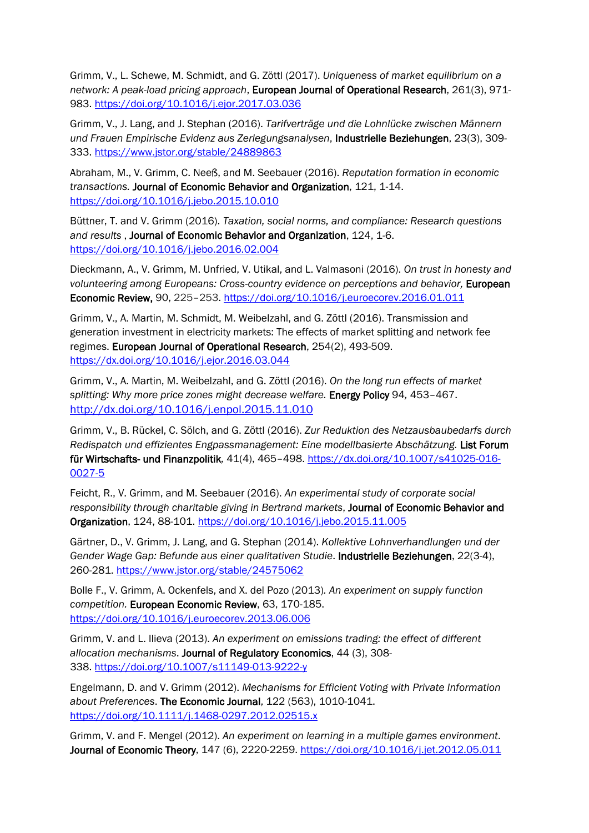Grimm, V., L. Schewe, M. Schmidt, and G. Zöttl (2017). *Uniqueness of market equilibrium on a network: A peak-load pricing approach*, European Journal of Operational Research, 261(3), 971- 983. <https://doi.org/10.1016/j.ejor.2017.03.036>

Grimm, V., J. Lang, and J. Stephan (2016). *Tarifverträge und die Lohnlücke zwischen Männern und Frauen Empirische Evidenz aus Zerlegungsanalysen*, Industrielle Beziehungen, 23(3), 309- 333. <https://www.jstor.org/stable/24889863>

Abraham, M., V. Grimm, C. Neeß, and M. Seebauer (2016). *Reputation formation in economic transactions.* Journal of Economic Behavior and Organization, 121, 1-14. <https://doi.org/10.1016/j.jebo.2015.10.010>

Büttner, T. and V. Grimm (2016). *Taxation, social norms, and compliance: Research questions and results* , Journal of Economic Behavior and Organization, 124, 1-6. <https://doi.org/10.1016/j.jebo.2016.02.004>

Dieckmann, A., V. Grimm, M. Unfried, V. Utikal, and L. Valmasoni (2016). *On trust in honesty and volunteering among Europeans: Cross-country evidence on perceptions and behavior,* European Economic Review, 90, 225–253.<https://doi.org/10.1016/j.euroecorev.2016.01.011>

Grimm, V., A. Martin, M. Schmidt, M. Weibelzahl, and G. Zöttl (2016). Transmission and generation investment in electricity markets: The effects of market splitting and network fee regimes. European Journal of Operational Research, 254(2), 493-509. <https://dx.doi.org/10.1016/j.ejor.2016.03.044>

Grimm, V., A. Martin, M. Weibelzahl, and G. Zöttl (2016). *On the long run effects of market splitting: Why more price zones might decrease welfare.* Energy Policy 94*,* 453–467. <http://dx.doi.org/10.1016/j.enpol.2015.11.010>

Grimm, V., B. Rückel, C. Sölch, and G. Zöttl (2016). *Zur Reduktion des Netzausbaubedarfs durch Redispatch und effizientes Engpassmanagement: Eine modellbasierte Abschätzung.* List Forum für Wirtschafts- und Finanzpolitik*,* 41(4), 465–498. [https://dx.doi.org/10.1007/s41025-016-](https://dx.doi.org/10.1007/s41025-016-0027-5) [0027-5](https://dx.doi.org/10.1007/s41025-016-0027-5)

Feicht, R., V. Grimm, and M. Seebauer (2016). *An experimental study of corporate social responsibility through charitable giving in Bertrand markets*, Journal of Economic Behavior and Organization, 124, 88-101. <https://doi.org/10.1016/j.jebo.2015.11.005>

Gärtner, D., V. Grimm, J. Lang, and G. Stephan (2014). *Kollektive Lohnverhandlungen und der Gender Wage Gap: Befunde aus einer qualitativen Studie*. Industrielle Beziehungen, 22(3-4), 260-281. <https://www.jstor.org/stable/24575062>

Bolle F., V. Grimm, A. Ockenfels, and X. del Pozo (2013)*. An experiment on supply function competition.* European Economic Review, 63, 170-185. <https://doi.org/10.1016/j.euroecorev.2013.06.006>

Grimm, V. and L. Ilieva (2013). *An experiment on emissions trading: the effect of different allocation mechanisms*. Journal of Regulatory Economics, 44 (3), 308- 338. <https://doi.org/10.1007/s11149-013-9222-y>

Engelmann, D. and V. Grimm (2012). *Mechanisms for Efficient Voting with Private Information about Preferences*. The Economic Journal, 122 (563), 1010-1041. <https://doi.org/10.1111/j.1468-0297.2012.02515.x>

Grimm, V. and F. Mengel (2012). *An experiment on learning in a multiple games environment*. Journal of Economic Theory, 147 (6), 2220-2259.<https://doi.org/10.1016/j.jet.2012.05.011>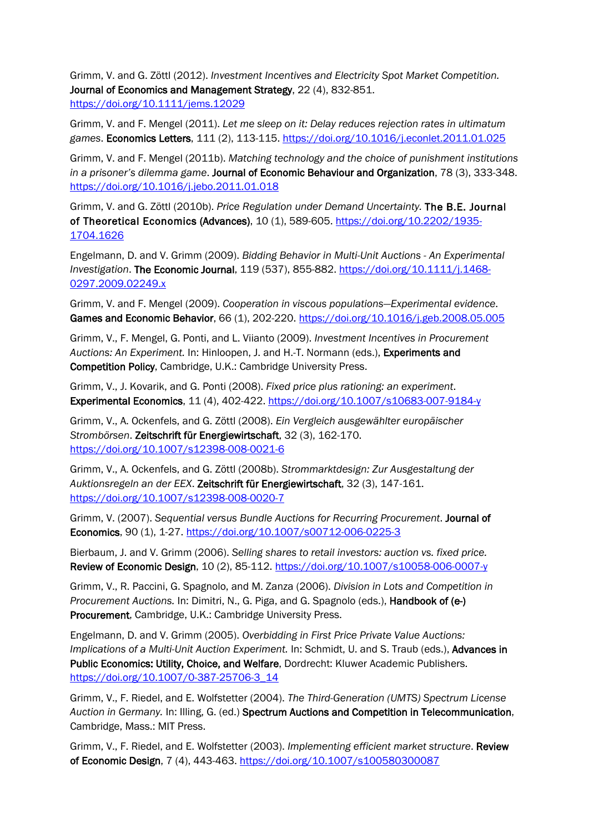Grimm, V. and G. Zöttl (2012). *Investment Incentives and Electricity Spot Market Competition.* Journal of Economics and Management Strategy, 22 (4), 832-851. <https://doi.org/10.1111/jems.12029>

Grimm, V. and F. Mengel (2011). *Let me sleep on it: Delay reduces rejection rates in ultimatum games*. Economics Letters, 111 (2), 113-115. <https://doi.org/10.1016/j.econlet.2011.01.025>

Grimm, V. and F. Mengel (2011b). *Matching technology and the choice of punishment institutions in a prisoner's dilemma game*. Journal of Economic Behaviour and Organization, 78 (3), 333-348. <https://doi.org/10.1016/j.jebo.2011.01.018>

Grimm, V. and G. Zöttl (2010b). *Price Regulation under Demand Uncertainty.* The B.E. Journal of Theoretical Economics (Advances), 10 (1), 589-605. [https://doi.org/10.2202/1935-](https://doi.org/10.2202/1935-1704.1626) [1704.1626](https://doi.org/10.2202/1935-1704.1626)

Engelmann, D. and V. Grimm (2009). *Bidding Behavior in Multi-Unit Auctions - An Experimental Investigation*. The Economic Journal, 119 (537), 855-882. [https://doi.org/10.1111/j.1468-](https://doi.org/10.1111/j.1468-0297.2009.02249.x) [0297.2009.02249.x](https://doi.org/10.1111/j.1468-0297.2009.02249.x)

Grimm, V. and F. Mengel (2009). *Cooperation in viscous populations—Experimental evidence*. Games and Economic Behavior, 66 (1), 202-220. <https://doi.org/10.1016/j.geb.2008.05.005>

Grimm, V., F. Mengel, G. Ponti, and L. Viianto (2009). *Investment Incentives in Procurement Auctions: An Experiment.* In: Hinloopen, J. and H.-T. Normann (eds.), Experiments and Competition Policy, Cambridge, U.K.: Cambridge University Press.

Grimm, V., J. Kovarik, and G. Ponti (2008). *Fixed price plus rationing: an experiment*. Experimental Economics, 11 (4), 402-422. <https://doi.org/10.1007/s10683-007-9184-y>

Grimm, V., A. Ockenfels, and G. Zöttl (2008). *Ein Vergleich ausgewählter europäischer Strombörsen*. Zeitschrift für Energiewirtschaft, 32 (3), 162-170. <https://doi.org/10.1007/s12398-008-0021-6>

Grimm, V., A. Ockenfels, and G. Zöttl (2008b). *Strommarktdesign: Zur Ausgestaltung der Auktionsregeln an der EEX*. Zeitschrift für Energiewirtschaft, 32 (3), 147-161. <https://doi.org/10.1007/s12398-008-0020-7>

Grimm, V. (2007). *Sequential versus Bundle Auctions for Recurring Procurement*. Journal of Economics, 90 (1), 1-27. <https://doi.org/10.1007/s00712-006-0225-3>

Bierbaum, J. and V. Grimm (2006). *Selling shares to retail investors: auction vs. fixed price.* Review of Economic Design, 10 (2), 85-112. <https://doi.org/10.1007/s10058-006-0007-y>

Grimm, V., R. Paccini, G. Spagnolo, and M. Zanza (2006). *Division in Lots and Competition in Procurement Auctions.* In: Dimitri, N., G. Piga, and G. Spagnolo (eds.), Handbook of (e-) Procurement, Cambridge, U.K.: Cambridge University Press.

Engelmann, D. and V. Grimm (2005). *Overbidding in First Price Private Value Auctions: Implications of a Multi-Unit Auction Experiment.* In: Schmidt, U. and S. Traub (eds.), Advances in Public Economics: Utility, Choice, and Welfare, Dordrecht: Kluwer Academic Publishers. [https://doi.org/10.1007/0-387-25706-3\\_14](https://doi.org/10.1007/0-387-25706-3_14) 

Grimm, V., F. Riedel, and E. Wolfstetter (2004). *The Third-Generation (UMTS) Spectrum License Auction in Germany.* In: Illing, G. (ed.) Spectrum Auctions and Competition in Telecommunication, Cambridge, Mass.: MIT Press.

Grimm, V., F. Riedel, and E. Wolfstetter (2003). *Implementing efficient market structure*. Review of Economic Design, 7 (4), 443-463. <https://doi.org/10.1007/s100580300087>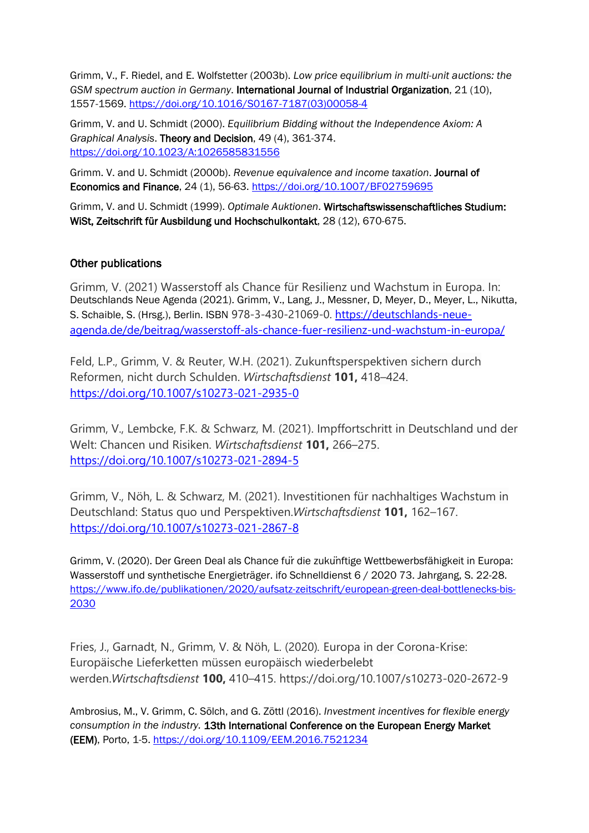Grimm, V., F. Riedel, and E. Wolfstetter (2003b). *Low price equilibrium in multi-unit auctions: the GSM spectrum auction in Germany*. International Journal of Industrial Organization, 21 (10), 1557-1569. [https://doi.org/10.1016/S0167-7187\(03\)00058-4](https://doi.org/10.1016/S0167-7187(03)00058-4)

Grimm, V. and U. Schmidt (2000). *Equilibrium Bidding without the Independence Axiom: A Graphical Analysis*. Theory and Decision, 49 (4), 361-374. <https://doi.org/10.1023/A:1026585831556>

Grimm. V. and U. Schmidt (2000b). *Revenue equivalence and income taxation*. Journal of Economics and Finance, 24 (1), 56-63. <https://doi.org/10.1007/BF02759695>

Grimm, V. and U. Schmidt (1999). *Optimale Auktionen*. Wirtschaftswissenschaftliches Studium: WiSt, Zeitschrift für Ausbildung und Hochschulkontakt, 28 (12), 670-675.

### Other publications

Grimm, V. (2021) Wasserstoff als Chance für Resilienz und Wachstum in Europa. In: Deutschlands Neue Agenda (2021). Grimm, V., Lang, J., Messner, D, Meyer, D., Meyer, L., Nikutta, S. Schaible, S. (Hrsg.), Berlin. ISBN 978-3-430-21069-0. [https://deutschlands-neue](https://deutschlands-neue-agenda.de/de/beitrag/wasserstoff-als-chance-fuer-resilienz-und-wachstum-in-europa/)[agenda.de/de/beitrag/wasserstoff-als-chance-fuer-resilienz-und-wachstum-in-europa/](https://deutschlands-neue-agenda.de/de/beitrag/wasserstoff-als-chance-fuer-resilienz-und-wachstum-in-europa/)

Feld, L.P., Grimm, V. & Reuter, W.H. (2021). Zukunftsperspektiven sichern durch Reformen, nicht durch Schulden. *Wirtschaftsdienst* **101,** 418–424. <https://doi.org/10.1007/s10273-021-2935-0>

Grimm, V., Lembcke, F.K. & Schwarz, M. (2021). Impffortschritt in Deutschland und der Welt: Chancen und Risiken. *Wirtschaftsdienst* **101,** 266–275. <https://doi.org/10.1007/s10273-021-2894-5>

Grimm, V., Nöh, L. & Schwarz, M. (2021). Investitionen für nachhaltiges Wachstum in Deutschland: Status quo und Perspektiven.*Wirtschaftsdienst* **101,** 162–167. <https://doi.org/10.1007/s10273-021-2867-8>

Grimm, V. (2020). Der Green Deal als Chance für die zukünftige Wettbewerbsfähigkeit in Europa: Wasserstoff und synthetische Energieträger. ifo Schnelldienst 6 / 2020 73. Jahrgang, S. 22-28. [https://www.ifo.de/publikationen/2020/aufsatz-zeitschrift/european-green-deal-bottlenecks-bis-](https://www.ifo.de/publikationen/2020/aufsatz-zeitschrift/european-green-deal-bottlenecks-bis-2030)[2030](https://www.ifo.de/publikationen/2020/aufsatz-zeitschrift/european-green-deal-bottlenecks-bis-2030)

Fries, J., Garnadt, N., Grimm, V. & Nöh, L. (2020)*.* Europa in der Corona-Krise: Europäische Lieferketten müssen europäisch wiederbelebt werden.*Wirtschaftsdienst* **100,** 410–415. https://doi.org/10.1007/s10273-020-2672-9

Ambrosius, M., V. Grimm, C. Sölch, and G. Zöttl (2016). *Investment incentives for flexible energy consumption in the industry.* 13th International Conference on the European Energy Market (EEM), Porto, 1-5.<https://doi.org/10.1109/EEM.2016.7521234>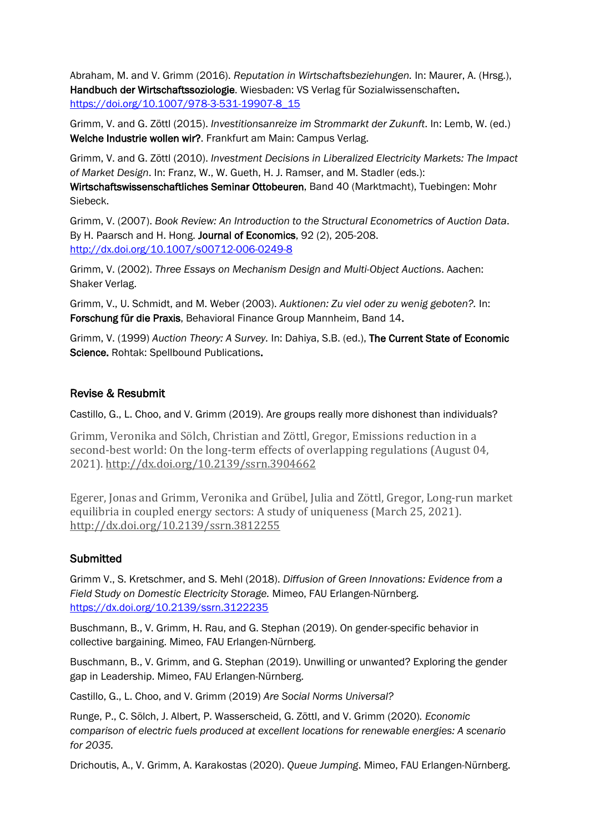Abraham, M. and V. Grimm (2016). *Reputation in Wirtschaftsbeziehungen.* In: Maurer, A. (Hrsg.), Handbuch der Wirtschaftssoziologie. Wiesbaden: VS Verlag für Sozialwissenschaften. [https://doi.org/10.1007/978-3-531-19907-8\\_15](https://doi.org/10.1007/978-3-531-19907-8_15) 

Grimm, V. and G. Zöttl (2015). *Investitionsanreize im Strommarkt der Zukunft*. In: Lemb, W. (ed.) Welche Industrie wollen wir?. Frankfurt am Main: Campus Verlag.

Grimm, V. and G. Zöttl (2010). *Investment Decisions in Liberalized Electricity Markets: The Impact of Market Design*. In: Franz, W., W. Gueth, H. J. Ramser, and M. Stadler (eds.):

Wirtschaftswissenschaftliches Seminar Ottobeuren, Band 40 (Marktmacht), Tuebingen: Mohr Siebeck.

Grimm, V. (2007). *Book Review: An Introduction to the Structural Econometrics of Auction Data*. By H. Paarsch and H. Hong. Journal of Economics, 92 (2), 205-208. <http://dx.doi.org/10.1007/s00712-006-0249-8>

Grimm, V. (2002). *Three Essays on Mechanism Design and Multi-Object Auctions*. Aachen: Shaker Verlag.

Grimm, V., U. Schmidt, and M. Weber (2003). *Auktionen: Zu viel oder zu wenig geboten?.* In: Forschung für die Praxis, Behavioral Finance Group Mannheim, Band 14.

Grimm, V. (1999) *Auction Theory: A Survey.* In: Dahiya, S.B. (ed.), The Current State of Economic Science. Rohtak: Spellbound Publications.

### Revise & Resubmit

Castillo, G., L. Choo, and V. Grimm (2019). Are groups really more dishonest than individuals?

Grimm, Veronika and Sölch, Christian and Zöttl, Gregor, Emissions reduction in a second-best world: On the long-term effects of overlapping regulations (August 04, 2021). [http://dx.doi.org/10.2139/ssrn.3904662](https://dx.doi.org/10.2139/ssrn.3904662)

Egerer, Jonas and Grimm, Veronika and Grübel, Julia and Zöttl, Gregor, Long-run market equilibria in coupled energy sectors: A study of uniqueness (March 25, 2021). [http://dx.doi.org/10.2139/ssrn.3812255](https://dx.doi.org/10.2139/ssrn.3812255)

### **Submitted**

Grimm V., S. Kretschmer, and S. Mehl (2018). *Diffusion of Green Innovations: Evidence from a Field Study on Domestic Electricity Storage.* Mimeo, FAU Erlangen-Nürnberg. <https://dx.doi.org/10.2139/ssrn.3122235>

Buschmann, B., V. Grimm, H. Rau, and G. Stephan (2019). On gender-specific behavior in collective bargaining. Mimeo, FAU Erlangen-Nürnberg.

Buschmann, B., V. Grimm, and G. Stephan (2019). Unwilling or unwanted? Exploring the gender gap in Leadership. Mimeo, FAU Erlangen-Nürnberg.

Castillo, G., L. Choo, and V. Grimm (2019) *Are Social Norms Universal?*

Runge, P., C. Sölch, J. Albert, P. Wasserscheid, G. Zöttl, and V. Grimm (2020)*. Economic comparison of electric fuels produced at excellent locations for renewable energies: A scenario for 2035.*

Drichoutis, A., V. Grimm, A. Karakostas (2020). *Queue Jumping*. Mimeo, FAU Erlangen-Nürnberg.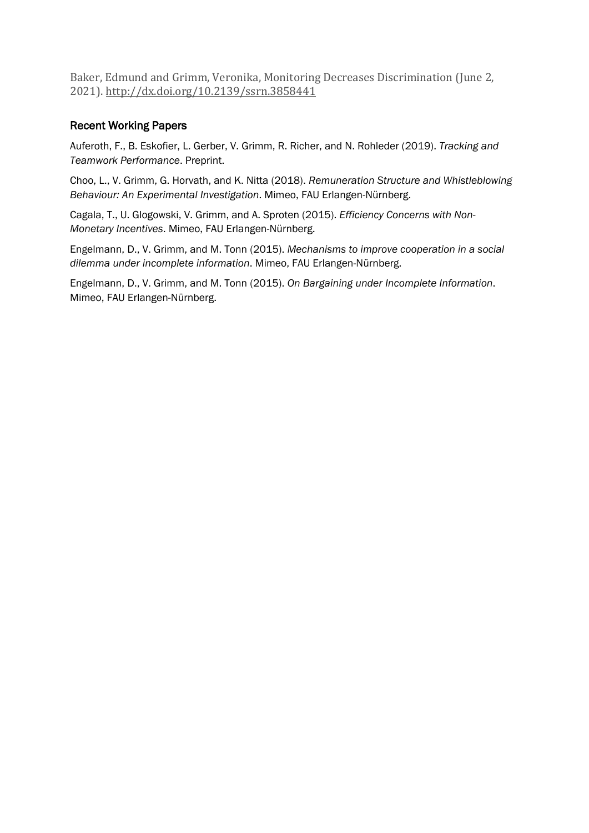Baker, Edmund and Grimm, Veronika, Monitoring Decreases Discrimination (June 2, 2021). [http://dx.doi.org/10.2139/ssrn.3858441](https://dx.doi.org/10.2139/ssrn.3858441)

## Recent Working Papers

Auferoth, F., B. Eskofier, L. Gerber, V. Grimm, R. Richer, and N. Rohleder (2019). *Tracking and Teamwork Performance*. Preprint.

Choo, L., V. Grimm, G. Horvath, and K. Nitta (2018). *Remuneration Structure and Whistleblowing Behaviour: An Experimental Investigation*. Mimeo, FAU Erlangen-Nürnberg.

Cagala, T., U. Glogowski, V. Grimm, and A. Sproten (2015). *Efficiency Concerns with Non-Monetary Incentives*. Mimeo, FAU Erlangen-Nürnberg.

Engelmann, D., V. Grimm, and M. Tonn (2015). *Mechanisms to improve cooperation in a social dilemma under incomplete information*. Mimeo, FAU Erlangen-Nürnberg.

Engelmann, D., V. Grimm, and M. Tonn (2015). *On Bargaining under Incomplete Information*. Mimeo, FAU Erlangen-Nürnberg.